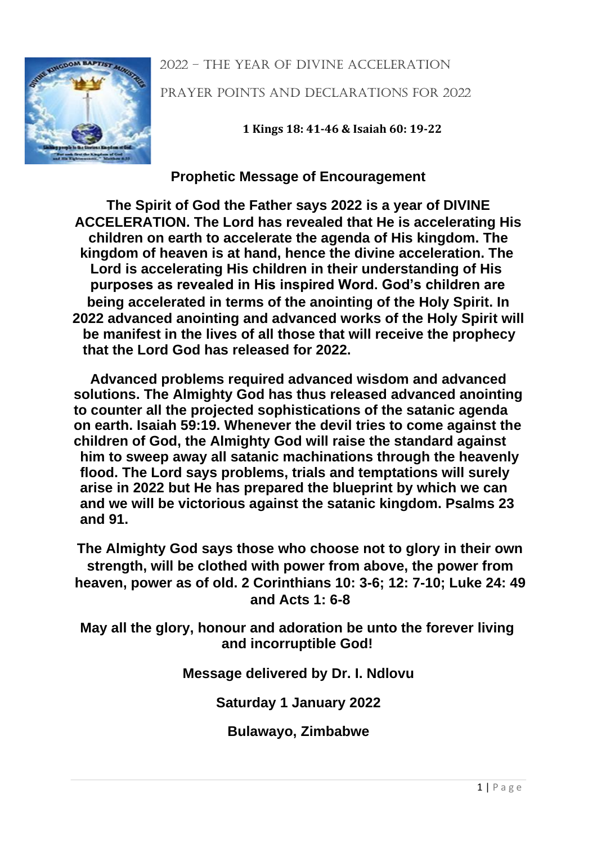#### 2022 – the year of divine acceleration



Prayer Points and declarations for 2022

**1 Kings 18: 41-46 & Isaiah 60: 19-22**

# **Prophetic Message of Encouragement**

**The Spirit of God the Father says 2022 is a year of DIVINE ACCELERATION. The Lord has revealed that He is accelerating His children on earth to accelerate the agenda of His kingdom. The kingdom of heaven is at hand, hence the divine acceleration. The Lord is accelerating His children in their understanding of His purposes as revealed in His inspired Word. God's children are being accelerated in terms of the anointing of the Holy Spirit. In 2022 advanced anointing and advanced works of the Holy Spirit will be manifest in the lives of all those that will receive the prophecy that the Lord God has released for 2022.** 

**Advanced problems required advanced wisdom and advanced solutions. The Almighty God has thus released advanced anointing to counter all the projected sophistications of the satanic agenda on earth. Isaiah 59:19. Whenever the devil tries to come against the children of God, the Almighty God will raise the standard against him to sweep away all satanic machinations through the heavenly flood. The Lord says problems, trials and temptations will surely arise in 2022 but He has prepared the blueprint by which we can and we will be victorious against the satanic kingdom. Psalms 23 and 91.** 

**The Almighty God says those who choose not to glory in their own strength, will be clothed with power from above, the power from heaven, power as of old. 2 Corinthians 10: 3-6; 12: 7-10; Luke 24: 49 and Acts 1: 6-8** 

**May all the glory, honour and adoration be unto the forever living and incorruptible God!** 

**Message delivered by Dr. I. Ndlovu** 

**Saturday 1 January 2022** 

**Bulawayo, Zimbabwe**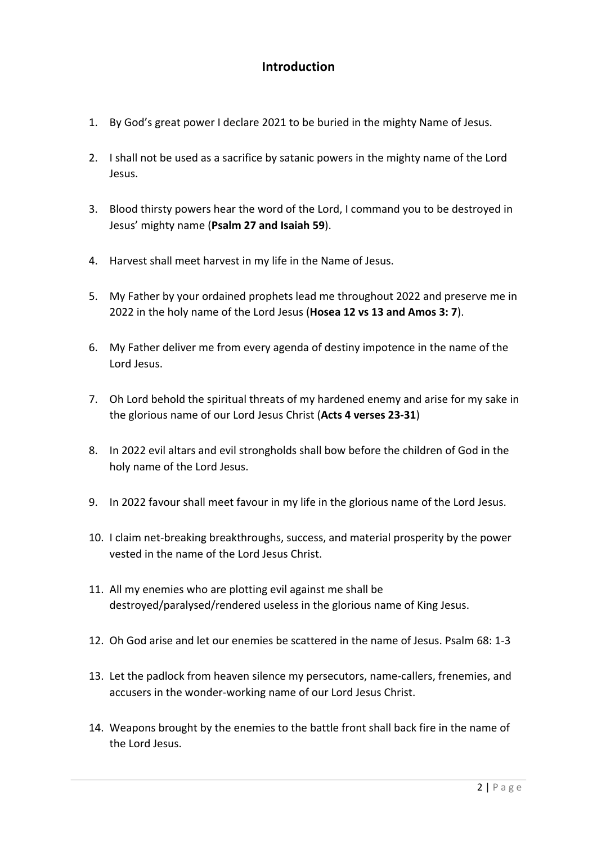### **Introduction**

- 1. By God's great power I declare 2021 to be buried in the mighty Name of Jesus.
- 2. I shall not be used as a sacrifice by satanic powers in the mighty name of the Lord Jesus.
- 3. Blood thirsty powers hear the word of the Lord, I command you to be destroyed in Jesus' mighty name (**Psalm 27 and Isaiah 59**).
- 4. Harvest shall meet harvest in my life in the Name of Jesus.
- 5. My Father by your ordained prophets lead me throughout 2022 and preserve me in 2022 in the holy name of the Lord Jesus (**Hosea 12 vs 13 and Amos 3: 7**).
- 6. My Father deliver me from every agenda of destiny impotence in the name of the Lord Jesus.
- 7. Oh Lord behold the spiritual threats of my hardened enemy and arise for my sake in the glorious name of our Lord Jesus Christ (**Acts 4 verses 23-31**)
- 8. In 2022 evil altars and evil strongholds shall bow before the children of God in the holy name of the Lord Jesus.
- 9. In 2022 favour shall meet favour in my life in the glorious name of the Lord Jesus.
- 10. I claim net-breaking breakthroughs, success, and material prosperity by the power vested in the name of the Lord Jesus Christ.
- 11. All my enemies who are plotting evil against me shall be destroyed/paralysed/rendered useless in the glorious name of King Jesus.
- 12. Oh God arise and let our enemies be scattered in the name of Jesus. Psalm 68: 1-3
- 13. Let the padlock from heaven silence my persecutors, name-callers, frenemies, and accusers in the wonder-working name of our Lord Jesus Christ.
- 14. Weapons brought by the enemies to the battle front shall back fire in the name of the Lord Jesus.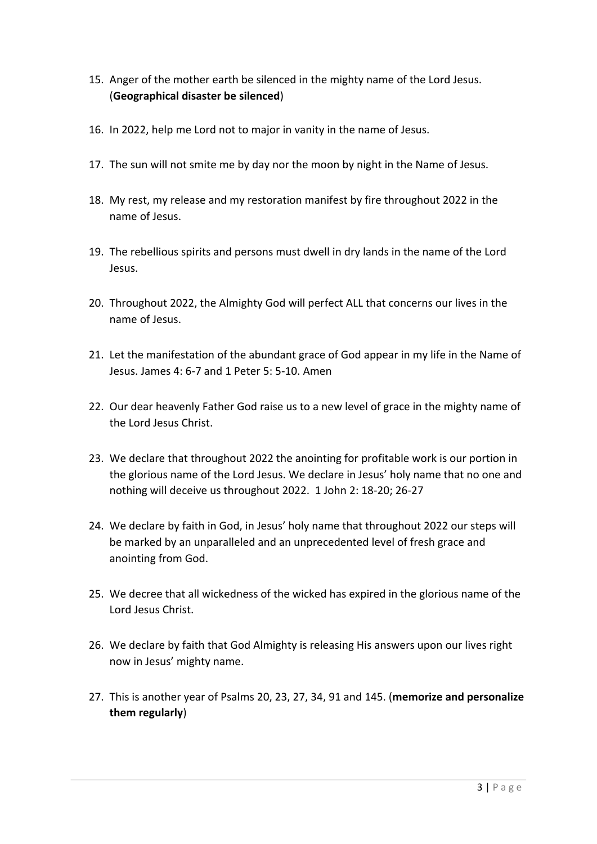- 15. Anger of the mother earth be silenced in the mighty name of the Lord Jesus. (**Geographical disaster be silenced**)
- 16. In 2022, help me Lord not to major in vanity in the name of Jesus.
- 17. The sun will not smite me by day nor the moon by night in the Name of Jesus.
- 18. My rest, my release and my restoration manifest by fire throughout 2022 in the name of Jesus.
- 19. The rebellious spirits and persons must dwell in dry lands in the name of the Lord Jesus.
- 20. Throughout 2022, the Almighty God will perfect ALL that concerns our lives in the name of Jesus.
- 21. Let the manifestation of the abundant grace of God appear in my life in the Name of Jesus. James 4: 6-7 and 1 Peter 5: 5-10. Amen
- 22. Our dear heavenly Father God raise us to a new level of grace in the mighty name of the Lord Jesus Christ.
- 23. We declare that throughout 2022 the anointing for profitable work is our portion in the glorious name of the Lord Jesus. We declare in Jesus' holy name that no one and nothing will deceive us throughout 2022. 1 John 2: 18-20; 26-27
- 24. We declare by faith in God, in Jesus' holy name that throughout 2022 our steps will be marked by an unparalleled and an unprecedented level of fresh grace and anointing from God.
- 25. We decree that all wickedness of the wicked has expired in the glorious name of the Lord Jesus Christ.
- 26. We declare by faith that God Almighty is releasing His answers upon our lives right now in Jesus' mighty name.
- 27. This is another year of Psalms 20, 23, 27, 34, 91 and 145. (**memorize and personalize them regularly**)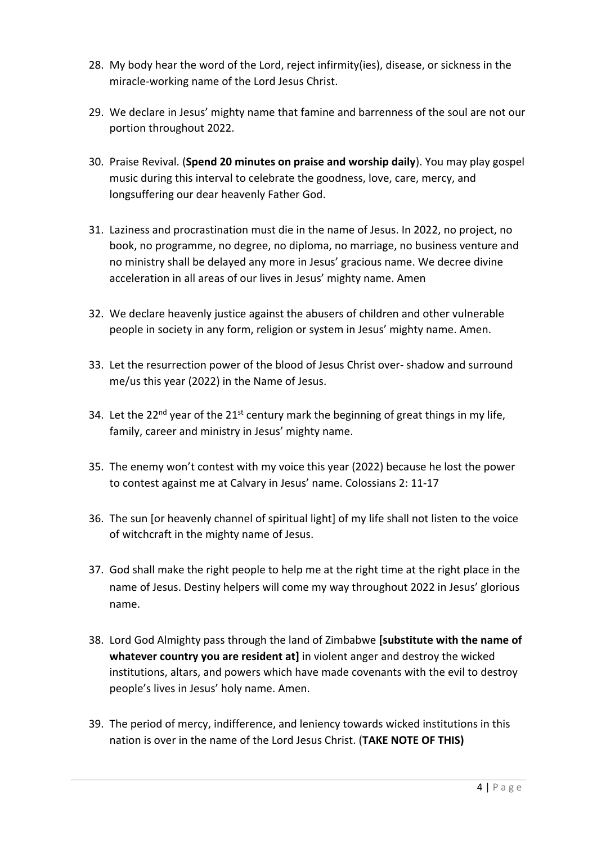- 28. My body hear the word of the Lord, reject infirmity(ies), disease, or sickness in the miracle-working name of the Lord Jesus Christ.
- 29. We declare in Jesus' mighty name that famine and barrenness of the soul are not our portion throughout 2022.
- 30. Praise Revival. (**Spend 20 minutes on praise and worship daily**). You may play gospel music during this interval to celebrate the goodness, love, care, mercy, and longsuffering our dear heavenly Father God.
- 31. Laziness and procrastination must die in the name of Jesus. In 2022, no project, no book, no programme, no degree, no diploma, no marriage, no business venture and no ministry shall be delayed any more in Jesus' gracious name. We decree divine acceleration in all areas of our lives in Jesus' mighty name. Amen
- 32. We declare heavenly justice against the abusers of children and other vulnerable people in society in any form, religion or system in Jesus' mighty name. Amen.
- 33. Let the resurrection power of the blood of Jesus Christ over- shadow and surround me/us this year (2022) in the Name of Jesus.
- 34. Let the 22<sup>nd</sup> year of the 21<sup>st</sup> century mark the beginning of great things in my life, family, career and ministry in Jesus' mighty name.
- 35. The enemy won't contest with my voice this year (2022) because he lost the power to contest against me at Calvary in Jesus' name. Colossians 2: 11-17
- 36. The sun [or heavenly channel of spiritual light] of my life shall not listen to the voice of witchcraft in the mighty name of Jesus.
- 37. God shall make the right people to help me at the right time at the right place in the name of Jesus. Destiny helpers will come my way throughout 2022 in Jesus' glorious name.
- 38. Lord God Almighty pass through the land of Zimbabwe **[substitute with the name of whatever country you are resident at]** in violent anger and destroy the wicked institutions, altars, and powers which have made covenants with the evil to destroy people's lives in Jesus' holy name. Amen.
- 39. The period of mercy, indifference, and leniency towards wicked institutions in this nation is over in the name of the Lord Jesus Christ. (**TAKE NOTE OF THIS)**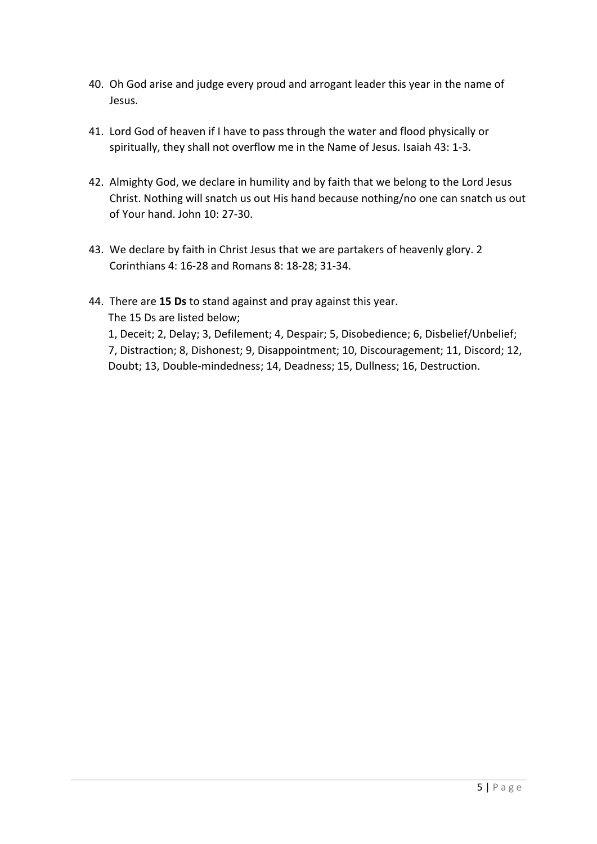- 40. Oh God arise and judge every proud and arrogant leader this year in the name of Jesus.
- 41. Lord God of heaven if I have to pass through the water and flood physically or spiritually, they shall not overflow me in the Name of Jesus. Isaiah 43: 1-3.
- 42. Almighty God, we declare in humility and by faith that we belong to the Lord Jesus Christ. Nothing will snatch us out His hand because nothing/no one can snatch us out of Your hand. John 10: 27-30.
- 43. We declare by faith in Christ Jesus that we are partakers of heavenly glory. 2 Corinthians 4: 16-28 and Romans 8: 18-28; 31-34.
- 44. There are **15 Ds** to stand against and pray against this year. The 15 Ds are listed below; 1, Deceit; 2, Delay; 3, Defilement; 4, Despair; 5, Disobedience; 6, Disbelief/Unbelief; 7, Distraction; 8, Dishonest; 9, Disappointment; 10, Discouragement; 11, Discord; 12, Doubt; 13, Double-mindedness; 14, Deadness; 15, Dullness; 16, Destruction.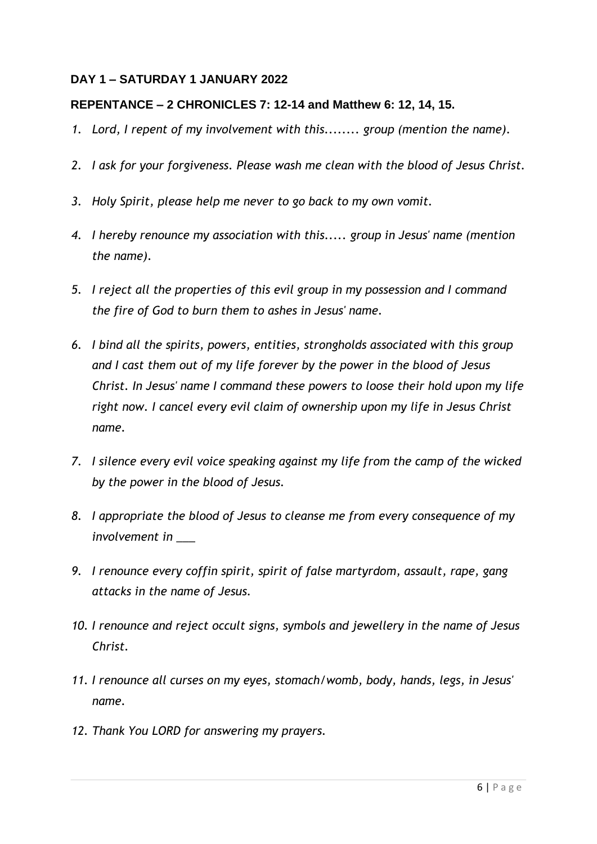#### **DAY 1 – SATURDAY 1 JANUARY 2022**

### **REPENTANCE – 2 CHRONICLES 7: 12-14 and Matthew 6: 12, 14, 15.**

- *1. Lord, I repent of my involvement with this........ group (mention the name).*
- *2. I ask for your forgiveness. Please wash me clean with the blood of Jesus Christ.*
- *3. Holy Spirit, please help me never to go back to my own vomit.*
- *4. I hereby renounce my association with this..... group in Jesus' name (mention the name).*
- *5. I reject all the properties of this evil group in my possession and I command the fire of God to burn them to ashes in Jesus' name.*
- *6. I bind all the spirits, powers, entities, strongholds associated with this group and I cast them out of my life forever by the power in the blood of Jesus Christ. In Jesus' name I command these powers to loose their hold upon my life right now. I cancel every evil claim of ownership upon my life in Jesus Christ name.*
- *7. I silence every evil voice speaking against my life from the camp of the wicked by the power in the blood of Jesus.*
- *8. I appropriate the blood of Jesus to cleanse me from every consequence of my involvement in \_\_\_*
- *9. I renounce every coffin spirit, spirit of false martyrdom, assault, rape, gang attacks in the name of Jesus.*
- *10. I renounce and reject occult signs, symbols and jewellery in the name of Jesus Christ.*
- *11. I renounce all curses on my eyes, stomach/womb, body, hands, legs, in Jesus' name.*
- *12. Thank You LORD for answering my prayers.*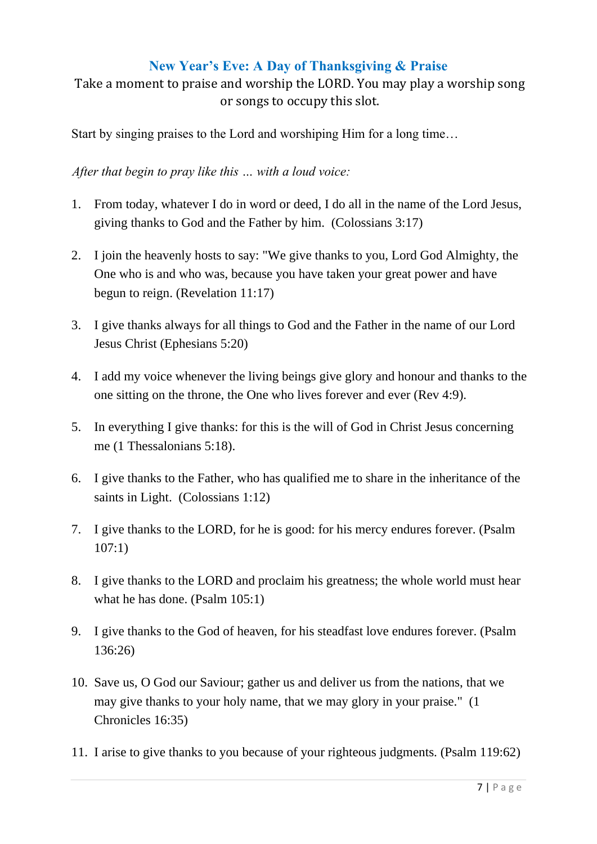# **New Year's Eve: A Day of Thanksgiving & Praise**

Take a moment to praise and worship the LORD. You may play a worship song or songs to occupy this slot.

Start by singing praises to the Lord and worshiping Him for a long time…

*After that begin to pray like this … with a loud voice:*

- 1. From today, whatever I do in word or deed, I do all in the name of the Lord Jesus, giving thanks to God and the Father by him. (Colossians 3:17)
- 2. I join the heavenly hosts to say: "We give thanks to you, Lord God Almighty, the One who is and who was, because you have taken your great power and have begun to reign. (Revelation 11:17)
- 3. I give thanks always for all things to God and the Father in the name of our Lord Jesus Christ (Ephesians 5:20)
- 4. I add my voice whenever the living beings give glory and honour and thanks to the one sitting on the throne, the One who lives forever and ever (Rev 4:9).
- 5. In everything I give thanks: for this is the will of God in Christ Jesus concerning me (1 Thessalonians 5:18).
- 6. I give thanks to the Father, who has qualified me to share in the inheritance of the saints in Light. (Colossians 1:12)
- 7. I give thanks to the LORD, for he is good: for his mercy endures forever. (Psalm 107:1)
- 8. I give thanks to the LORD and proclaim his greatness; the whole world must hear what he has done. (Psalm 105:1)
- 9. I give thanks to the God of heaven, for his steadfast love endures forever. (Psalm 136:26)
- 10. Save us, O God our Saviour; gather us and deliver us from the nations, that we may give thanks to your holy name, that we may glory in your praise." (1 Chronicles 16:35)
- 11. I arise to give thanks to you because of your righteous judgments. (Psalm 119:62)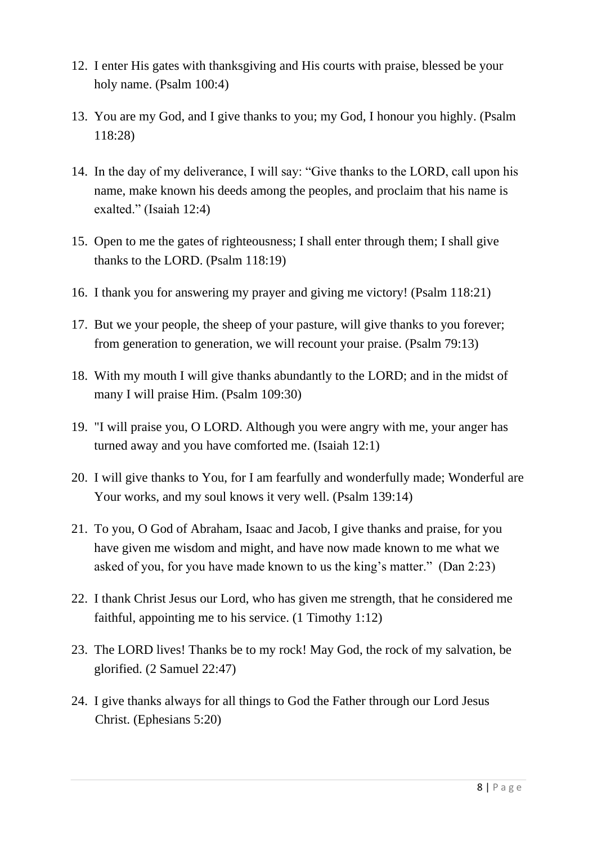- 12. I enter His gates with thanksgiving and His courts with praise, blessed be your holy name. (Psalm 100:4)
- 13. You are my God, and I give thanks to you; my God, I honour you highly. (Psalm 118:28)
- 14. In the day of my deliverance, I will say: "Give thanks to the LORD, call upon his name, make known his deeds among the peoples, and proclaim that his name is exalted." (Isaiah 12:4)
- 15. Open to me the gates of righteousness; I shall enter through them; I shall give thanks to the LORD. (Psalm 118:19)
- 16. I thank you for answering my prayer and giving me victory! (Psalm 118:21)
- 17. But we your people, the sheep of your pasture, will give thanks to you forever; from generation to generation, we will recount your praise. (Psalm 79:13)
- 18. With my mouth I will give thanks abundantly to the LORD; and in the midst of many I will praise Him. (Psalm 109:30)
- 19. "I will praise you, O LORD. Although you were angry with me, your anger has turned away and you have comforted me. (Isaiah 12:1)
- 20. I will give thanks to You, for I am fearfully and wonderfully made; Wonderful are Your works, and my soul knows it very well. (Psalm 139:14)
- 21. To you, O God of Abraham, Isaac and Jacob, I give thanks and praise, for you have given me wisdom and might, and have now made known to me what we asked of you, for you have made known to us the king's matter." (Dan 2:23)
- 22. I thank Christ Jesus our Lord, who has given me strength, that he considered me faithful, appointing me to his service. (1 Timothy 1:12)
- 23. The LORD lives! Thanks be to my rock! May God, the rock of my salvation, be glorified. (2 Samuel 22:47)
- 24. I give thanks always for all things to God the Father through our Lord Jesus Christ. (Ephesians 5:20)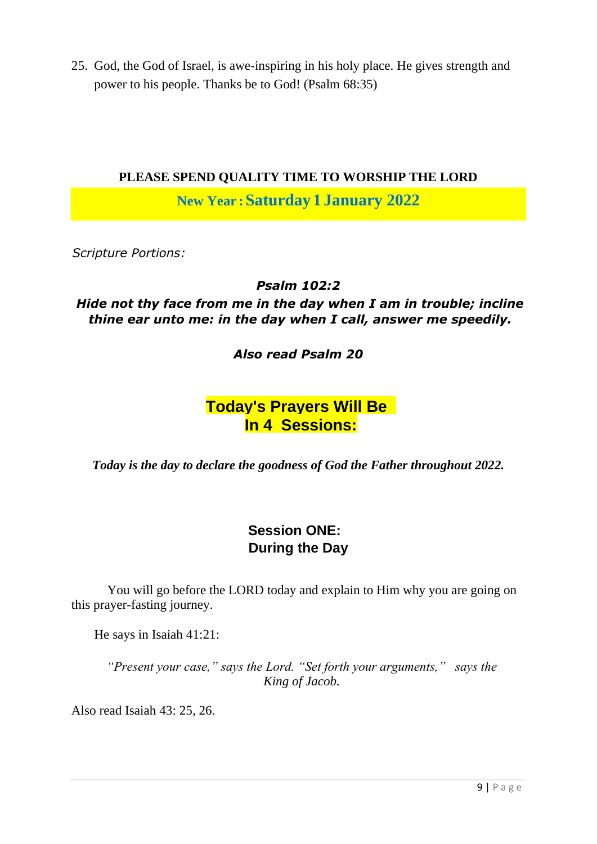25. God, the God of Israel, is awe-inspiring in his holy place. He gives strength and power to his people. Thanks be to God! (Psalm 68:35)

### **PLEASE SPEND QUALITY TIME TO WORSHIP THE LORD**

**New Year :Saturday 1 January 2022**

*Scripture Portions:* 

*Psalm 102:2* 

*Hide not thy face from me in the day when I am in trouble; incline thine ear unto me: in the day when I call, answer me speedily.* 

*Also read Psalm 20*

# **Today's Prayers Will Be In 4 Sessions:**

*Today is the day to declare the goodness of God the Father throughout 2022.*

# **Session ONE: During the Day**

 You will go before the LORD today and explain to Him why you are going on this prayer-fasting journey.

He says in Isaiah 41:21:

*"Present your case," says the Lord. "Set forth your arguments," says the King of Jacob.* 

Also read Isaiah 43: 25, 26.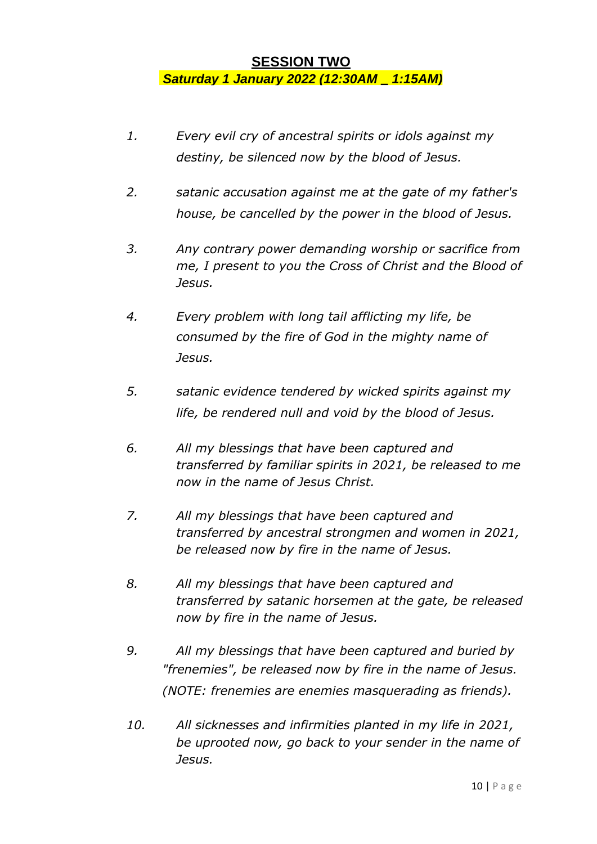# **SESSION TWO** *Saturday 1 January 2022 (12:30AM – 1:15AM)*

- *1. Every evil cry of ancestral spirits or idols against my destiny, be silenced now by the blood of Jesus.*
- *2. satanic accusation against me at the gate of my father's house, be cancelled by the power in the blood of Jesus.*
- *3. Any contrary power demanding worship or sacrifice from me, I present to you the Cross of Christ and the Blood of Jesus.*
- *4. Every problem with long tail afflicting my life, be consumed by the fire of God in the mighty name of Jesus.*
- *5. satanic evidence tendered by wicked spirits against my life, be rendered null and void by the blood of Jesus.*
- *6. All my blessings that have been captured and transferred by familiar spirits in 2021, be released to me now in the name of Jesus Christ.*
- *7. All my blessings that have been captured and transferred by ancestral strongmen and women in 2021, be released now by fire in the name of Jesus.*
- *8. All my blessings that have been captured and transferred by satanic horsemen at the gate, be released now by fire in the name of Jesus.*
- *9. All my blessings that have been captured and buried by "frenemies", be released now by fire in the name of Jesus. (NOTE: frenemies are enemies masquerading as friends).*
- *10. All sicknesses and infirmities planted in my life in 2021, be uprooted now, go back to your sender in the name of Jesus.*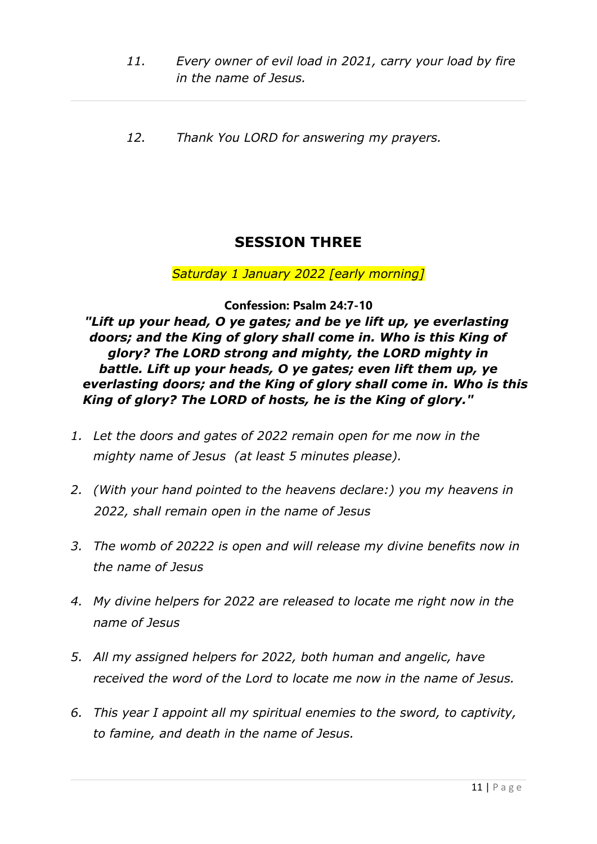- *11. Every owner of evil load in 2021, carry your load by fire in the name of Jesus.*
- *12. Thank You LORD for answering my prayers.*

# **SESSION THREE**

### *Saturday 1 January 2022 [early morning]*

**Confession: Psalm 24:7-10** 

*"Lift up your head, O ye gates; and be ye lift up, ye everlasting doors; and the King of glory shall come in. Who is this King of glory? The LORD strong and mighty, the LORD mighty in battle. Lift up your heads, O ye gates; even lift them up, ye everlasting doors; and the King of glory shall come in. Who is this King of glory? The LORD of hosts, he is the King of glory."* 

- *1. Let the doors and gates of 2022 remain open for me now in the mighty name of Jesus (at least 5 minutes please).*
- *2. (With your hand pointed to the heavens declare:) you my heavens in 2022, shall remain open in the name of Jesus*
- *3. The womb of 20222 is open and will release my divine benefits now in the name of Jesus*
- *4. My divine helpers for 2022 are released to locate me right now in the name of Jesus*
- *5. All my assigned helpers for 2022, both human and angelic, have received the word of the Lord to locate me now in the name of Jesus.*
- *6. This year I appoint all my spiritual enemies to the sword, to captivity, to famine, and death in the name of Jesus.*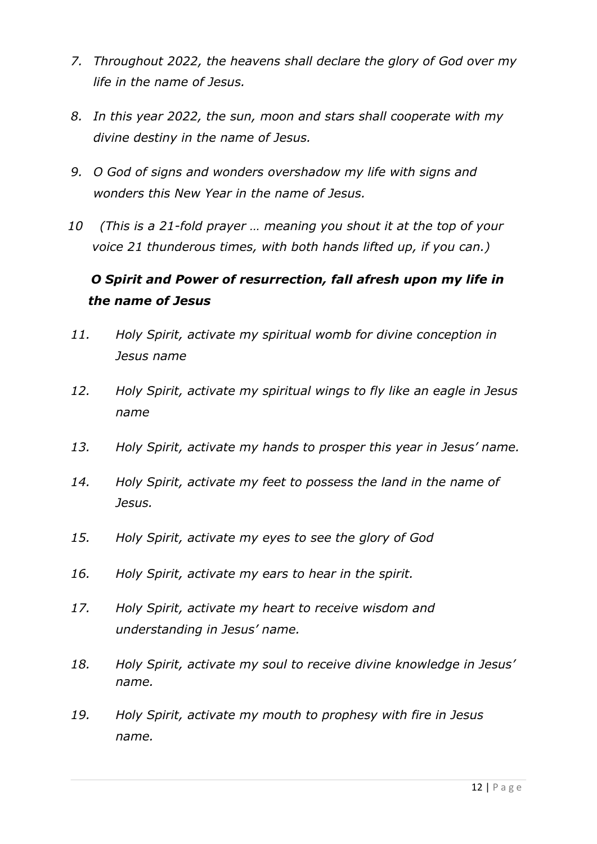- *7. Throughout 2022, the heavens shall declare the glory of God over my life in the name of Jesus.*
- *8. In this year 2022, the sun, moon and stars shall cooperate with my divine destiny in the name of Jesus.*
- *9. O God of signs and wonders overshadow my life with signs and wonders this New Year in the name of Jesus.*
- *10 (This is a 21-fold prayer … meaning you shout it at the top of your voice 21 thunderous times, with both hands lifted up, if you can.)*

# *O Spirit and Power of resurrection, fall afresh upon my life in the name of Jesus*

- *11. Holy Spirit, activate my spiritual womb for divine conception in Jesus name*
- *12. Holy Spirit, activate my spiritual wings to fly like an eagle in Jesus name*
- *13. Holy Spirit, activate my hands to prosper this year in Jesus' name.*
- *14. Holy Spirit, activate my feet to possess the land in the name of Jesus.*
- *15. Holy Spirit, activate my eyes to see the glory of God*
- *16. Holy Spirit, activate my ears to hear in the spirit.*
- *17. Holy Spirit, activate my heart to receive wisdom and understanding in Jesus' name.*
- *18. Holy Spirit, activate my soul to receive divine knowledge in Jesus' name.*
- *19. Holy Spirit, activate my mouth to prophesy with fire in Jesus name.*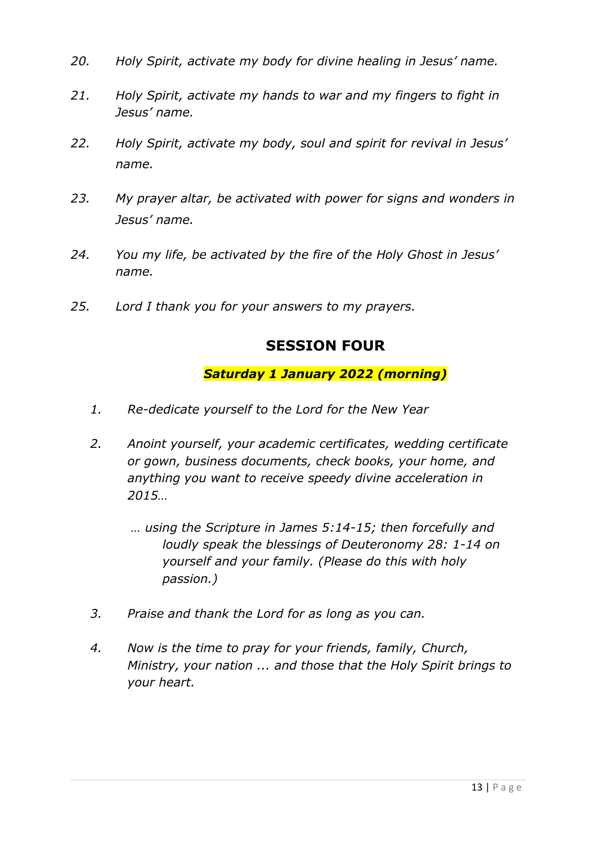- *20. Holy Spirit, activate my body for divine healing in Jesus' name.*
- *21. Holy Spirit, activate my hands to war and my fingers to fight in Jesus' name.*
- *22. Holy Spirit, activate my body, soul and spirit for revival in Jesus' name.*
- *23. My prayer altar, be activated with power for signs and wonders in Jesus' name.*
- *24. You my life, be activated by the fire of the Holy Ghost in Jesus' name.*
- *25. Lord I thank you for your answers to my prayers.*

# **SESSION FOUR**

### *Saturday 1 January 2022 (morning)*

- *1. Re-dedicate yourself to the Lord for the New Year*
- *2. Anoint yourself, your academic certificates, wedding certificate or gown, business documents, check books, your home, and anything you want to receive speedy divine acceleration in 2015…*
	- *… using the Scripture in James 5:14-15; then forcefully and loudly speak the blessings of Deuteronomy 28: 1-14 on yourself and your family. (Please do this with holy passion.)*
- *3. Praise and thank the Lord for as long as you can.*
- *4. Now is the time to pray for your friends, family, Church, Ministry, your nation ... and those that the Holy Spirit brings to your heart.*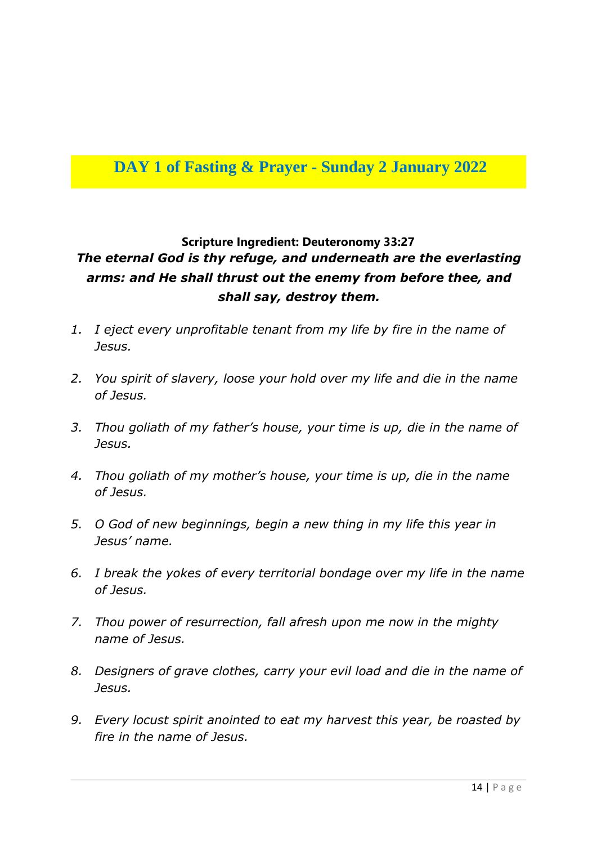# **DAY 1 of Fasting & Prayer - Sunday 2 January 2022**

# **Scripture Ingredient: Deuteronomy 33:27** *The eternal God is thy refuge, and underneath are the everlasting arms: and He shall thrust out the enemy from before thee, and shall say, destroy them.*

- *1. I eject every unprofitable tenant from my life by fire in the name of Jesus.*
- *2. You spirit of slavery, loose your hold over my life and die in the name of Jesus.*
- *3. Thou goliath of my father's house, your time is up, die in the name of Jesus.*
- *4. Thou goliath of my mother's house, your time is up, die in the name of Jesus.*
- *5. O God of new beginnings, begin a new thing in my life this year in Jesus' name.*
- *6. I break the yokes of every territorial bondage over my life in the name of Jesus.*
- *7. Thou power of resurrection, fall afresh upon me now in the mighty name of Jesus.*
- *8. Designers of grave clothes, carry your evil load and die in the name of Jesus.*
- *9. Every locust spirit anointed to eat my harvest this year, be roasted by fire in the name of Jesus.*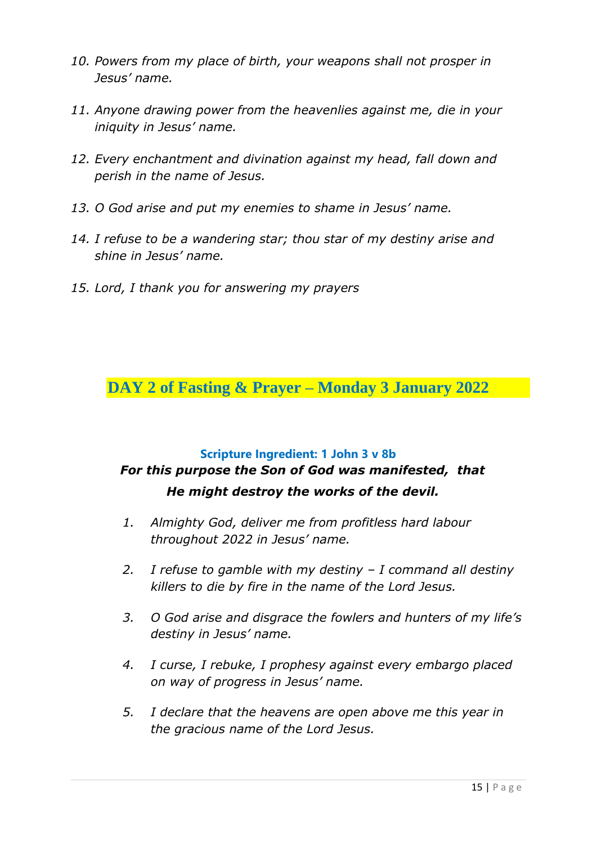- *10. Powers from my place of birth, your weapons shall not prosper in Jesus' name.*
- *11. Anyone drawing power from the heavenlies against me, die in your iniquity in Jesus' name.*
- *12. Every enchantment and divination against my head, fall down and perish in the name of Jesus.*
- *13. O God arise and put my enemies to shame in Jesus' name.*
- *14. I refuse to be a wandering star; thou star of my destiny arise and shine in Jesus' name.*
- *15. Lord, I thank you for answering my prayers*

**DAY 2 of Fasting & Prayer – Monday 3 January 2022**

#### **Scripture Ingredient: 1 John 3 v 8b**

# *For this purpose the Son of God was manifested, that He might destroy the works of the devil.*

- *1. Almighty God, deliver me from profitless hard labour throughout 2022 in Jesus' name.*
- *2. I refuse to gamble with my destiny – I command all destiny killers to die by fire in the name of the Lord Jesus.*
- *3. O God arise and disgrace the fowlers and hunters of my life's destiny in Jesus' name.*
- *4. I curse, I rebuke, I prophesy against every embargo placed on way of progress in Jesus' name.*
- *5. I declare that the heavens are open above me this year in the gracious name of the Lord Jesus.*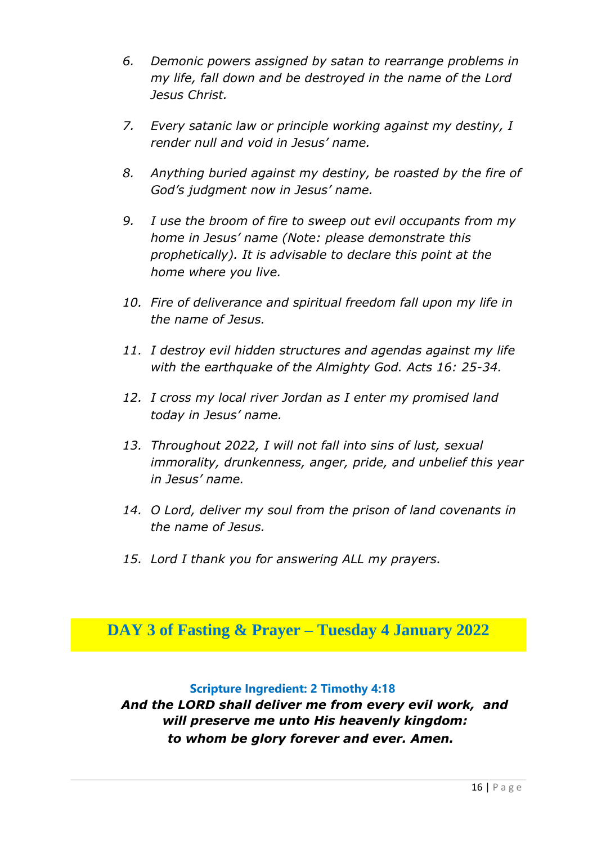- *6. Demonic powers assigned by satan to rearrange problems in my life, fall down and be destroyed in the name of the Lord Jesus Christ.*
- *7. Every satanic law or principle working against my destiny, I render null and void in Jesus' name.*
- *8. Anything buried against my destiny, be roasted by the fire of God's judgment now in Jesus' name.*
- *9. I use the broom of fire to sweep out evil occupants from my home in Jesus' name (Note: please demonstrate this prophetically). It is advisable to declare this point at the home where you live.*
- *10. Fire of deliverance and spiritual freedom fall upon my life in the name of Jesus.*
- *11. I destroy evil hidden structures and agendas against my life with the earthquake of the Almighty God. Acts 16: 25-34.*
- *12. I cross my local river Jordan as I enter my promised land today in Jesus' name.*
- *13. Throughout 2022, I will not fall into sins of lust, sexual immorality, drunkenness, anger, pride, and unbelief this year in Jesus' name.*
- *14. O Lord, deliver my soul from the prison of land covenants in the name of Jesus.*
- *15. Lord I thank you for answering ALL my prayers.*

**DAY 3 of Fasting & Prayer – Tuesday 4 January 2022**

### **Scripture Ingredient: 2 Timothy 4:18**

*And the LORD shall deliver me from every evil work, and will preserve me unto His heavenly kingdom: to whom be glory forever and ever. Amen.*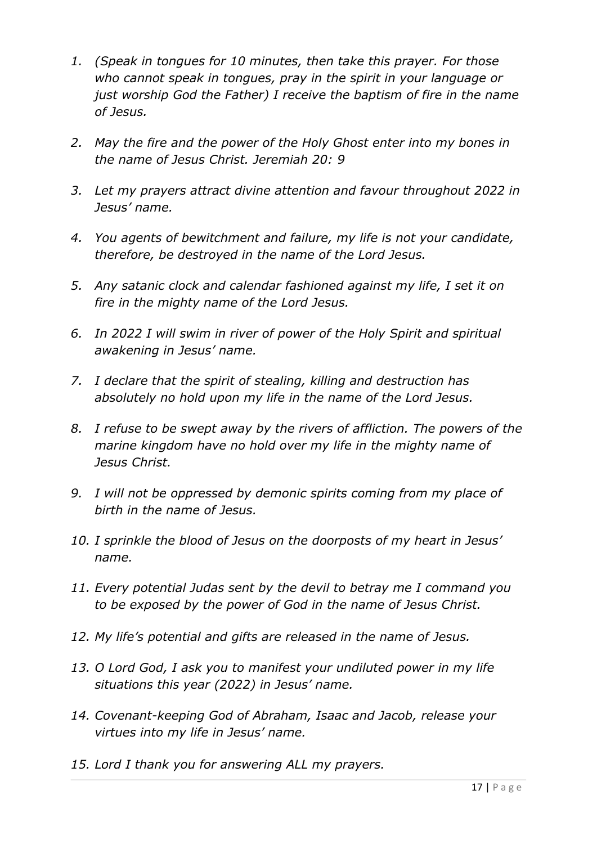- *1. (Speak in tongues for 10 minutes, then take this prayer. For those who cannot speak in tongues, pray in the spirit in your language or just worship God the Father) I receive the baptism of fire in the name of Jesus.*
- *2. May the fire and the power of the Holy Ghost enter into my bones in the name of Jesus Christ. Jeremiah 20: 9*
- *3. Let my prayers attract divine attention and favour throughout 2022 in Jesus' name.*
- *4. You agents of bewitchment and failure, my life is not your candidate, therefore, be destroyed in the name of the Lord Jesus.*
- *5. Any satanic clock and calendar fashioned against my life, I set it on fire in the mighty name of the Lord Jesus.*
- *6. In 2022 I will swim in river of power of the Holy Spirit and spiritual awakening in Jesus' name.*
- *7. I declare that the spirit of stealing, killing and destruction has absolutely no hold upon my life in the name of the Lord Jesus.*
- *8. I refuse to be swept away by the rivers of affliction. The powers of the marine kingdom have no hold over my life in the mighty name of Jesus Christ.*
- *9. I will not be oppressed by demonic spirits coming from my place of birth in the name of Jesus.*
- *10. I sprinkle the blood of Jesus on the doorposts of my heart in Jesus' name.*
- *11. Every potential Judas sent by the devil to betray me I command you to be exposed by the power of God in the name of Jesus Christ.*
- *12. My life's potential and gifts are released in the name of Jesus.*
- *13. O Lord God, I ask you to manifest your undiluted power in my life situations this year (2022) in Jesus' name.*
- *14. Covenant-keeping God of Abraham, Isaac and Jacob, release your virtues into my life in Jesus' name.*
- *15. Lord I thank you for answering ALL my prayers.*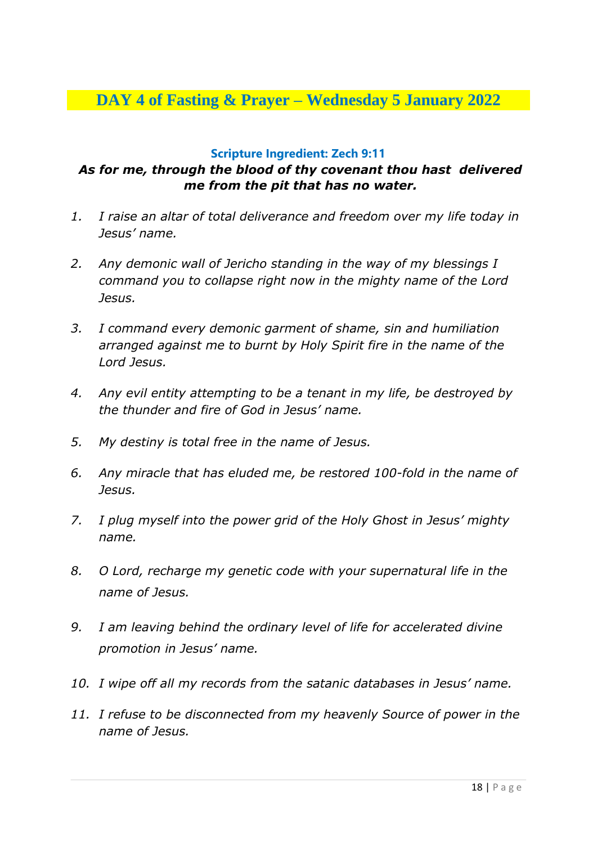# **DAY 4 of Fasting & Prayer – Wednesday 5 January 2022**

#### **Scripture Ingredient: Zech 9:11**

### *As for me, through the blood of thy covenant thou hast delivered me from the pit that has no water.*

- *1. I raise an altar of total deliverance and freedom over my life today in Jesus' name.*
- *2. Any demonic wall of Jericho standing in the way of my blessings I command you to collapse right now in the mighty name of the Lord Jesus.*
- *3. I command every demonic garment of shame, sin and humiliation arranged against me to burnt by Holy Spirit fire in the name of the Lord Jesus.*
- *4. Any evil entity attempting to be a tenant in my life, be destroyed by the thunder and fire of God in Jesus' name.*
- *5. My destiny is total free in the name of Jesus.*
- *6. Any miracle that has eluded me, be restored 100-fold in the name of Jesus.*
- *7. I plug myself into the power grid of the Holy Ghost in Jesus' mighty name.*
- *8. O Lord, recharge my genetic code with your supernatural life in the name of Jesus.*
- *9. I am leaving behind the ordinary level of life for accelerated divine promotion in Jesus' name.*
- *10. I wipe off all my records from the satanic databases in Jesus' name.*
- *11. I refuse to be disconnected from my heavenly Source of power in the name of Jesus.*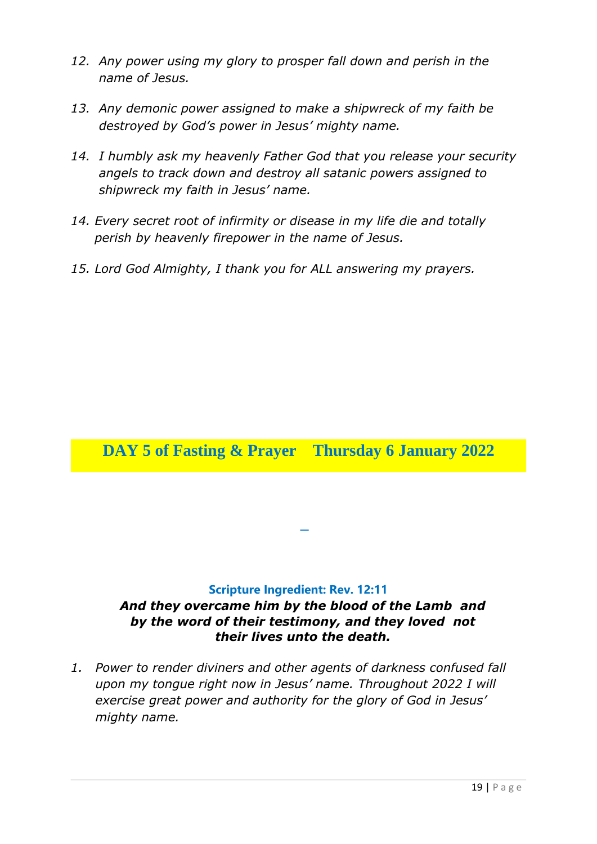- *12. Any power using my glory to prosper fall down and perish in the name of Jesus.*
- *13. Any demonic power assigned to make a shipwreck of my faith be destroyed by God's power in Jesus' mighty name.*
- *14. I humbly ask my heavenly Father God that you release your security angels to track down and destroy all satanic powers assigned to shipwreck my faith in Jesus' name.*
- *14. Every secret root of infirmity or disease in my life die and totally perish by heavenly firepower in the name of Jesus.*
- *15. Lord God Almighty, I thank you for ALL answering my prayers.*

# **DAY 5 of Fasting & Prayer Thursday 6 January 2022**

#### **Scripture Ingredient: Rev. 12:11**

### *And they overcame him by the blood of the Lamb and by the word of their testimony, and they loved not their lives unto the death.*

**–**

*1. Power to render diviners and other agents of darkness confused fall upon my tongue right now in Jesus' name. Throughout 2022 I will exercise great power and authority for the glory of God in Jesus' mighty name.*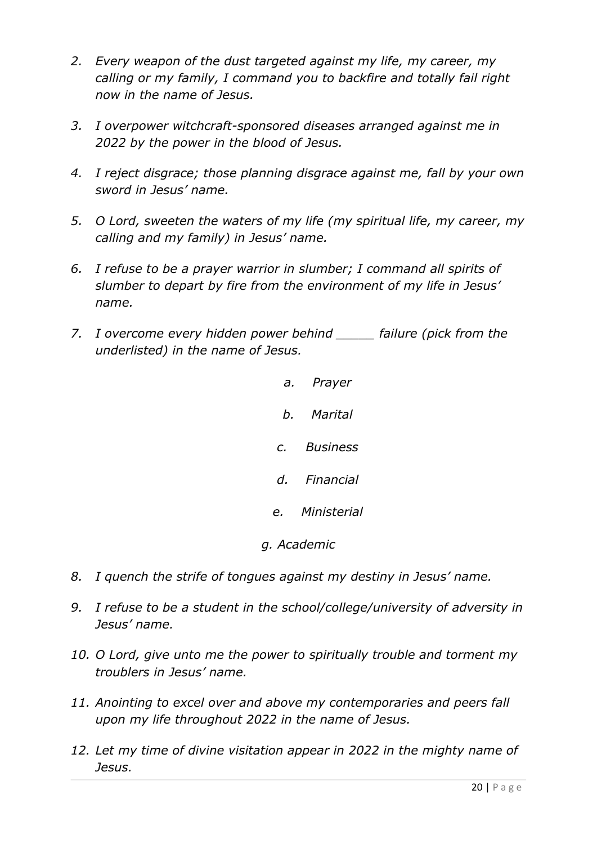- *2. Every weapon of the dust targeted against my life, my career, my calling or my family, I command you to backfire and totally fail right now in the name of Jesus.*
- *3. I overpower witchcraft-sponsored diseases arranged against me in 2022 by the power in the blood of Jesus.*
- *4. I reject disgrace; those planning disgrace against me, fall by your own sword in Jesus' name.*
- *5. O Lord, sweeten the waters of my life (my spiritual life, my career, my calling and my family) in Jesus' name.*
- *6. I refuse to be a prayer warrior in slumber; I command all spirits of slumber to depart by fire from the environment of my life in Jesus' name.*
- *7. I overcome every hidden power behind \_\_\_\_\_ failure (pick from the underlisted) in the name of Jesus.*
	- *a. Prayer b. Marital c. Business d. Financial e. Ministerial*
	- *g. Academic*
- *8. I quench the strife of tongues against my destiny in Jesus' name.*
- *9. I refuse to be a student in the school/college/university of adversity in Jesus' name.*
- *10. O Lord, give unto me the power to spiritually trouble and torment my troublers in Jesus' name.*
- *11. Anointing to excel over and above my contemporaries and peers fall upon my life throughout 2022 in the name of Jesus.*
- *12. Let my time of divine visitation appear in 2022 in the mighty name of Jesus.*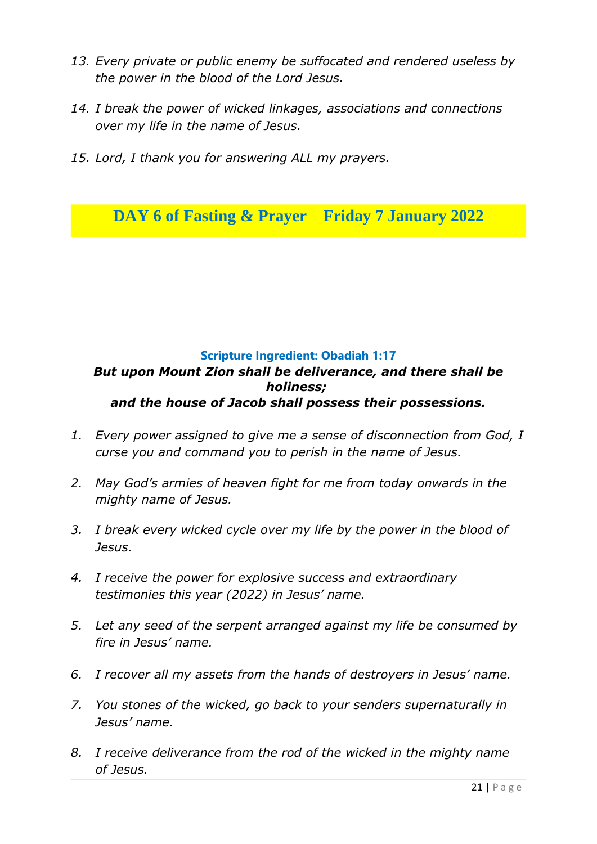- *13. Every private or public enemy be suffocated and rendered useless by the power in the blood of the Lord Jesus.*
- *14. I break the power of wicked linkages, associations and connections over my life in the name of Jesus.*
- *15. Lord, I thank you for answering ALL my prayers.*

**DAY 6 of Fasting & Prayer Friday 7 January 2022**

### **Scripture Ingredient: Obadiah 1:17** *But upon Mount Zion shall be deliverance, and there shall be holiness; and the house of Jacob shall possess their possessions.*

- *1. Every power assigned to give me a sense of disconnection from God, I curse you and command you to perish in the name of Jesus.*
- *2. May God's armies of heaven fight for me from today onwards in the mighty name of Jesus.*
- *3. I break every wicked cycle over my life by the power in the blood of Jesus.*
- *4. I receive the power for explosive success and extraordinary testimonies this year (2022) in Jesus' name.*
- *5. Let any seed of the serpent arranged against my life be consumed by fire in Jesus' name.*
- *6. I recover all my assets from the hands of destroyers in Jesus' name.*
- *7. You stones of the wicked, go back to your senders supernaturally in Jesus' name.*
- *8. I receive deliverance from the rod of the wicked in the mighty name of Jesus.*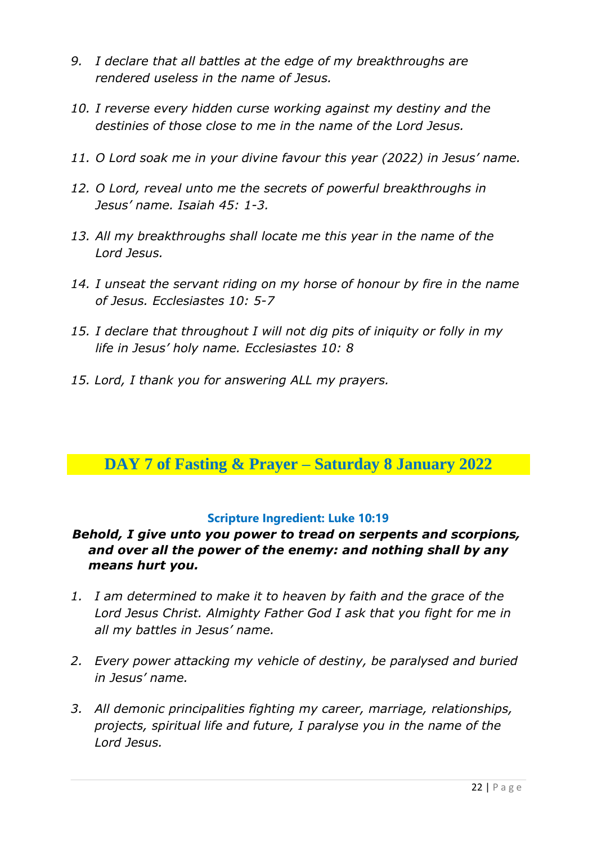- *9. I declare that all battles at the edge of my breakthroughs are rendered useless in the name of Jesus.*
- *10. I reverse every hidden curse working against my destiny and the destinies of those close to me in the name of the Lord Jesus.*
- *11. O Lord soak me in your divine favour this year (2022) in Jesus' name.*
- *12. O Lord, reveal unto me the secrets of powerful breakthroughs in Jesus' name. Isaiah 45: 1-3.*
- *13. All my breakthroughs shall locate me this year in the name of the Lord Jesus.*
- *14. I unseat the servant riding on my horse of honour by fire in the name of Jesus. Ecclesiastes 10: 5-7*
- *15. I declare that throughout I will not dig pits of iniquity or folly in my life in Jesus' holy name. Ecclesiastes 10: 8*
- *15. Lord, I thank you for answering ALL my prayers.*

# **DAY 7 of Fasting & Prayer – Saturday 8 January 2022**

#### **Scripture Ingredient: Luke 10:19**

### *Behold, I give unto you power to tread on serpents and scorpions, and over all the power of the enemy: and nothing shall by any means hurt you.*

- *1. I am determined to make it to heaven by faith and the grace of the Lord Jesus Christ. Almighty Father God I ask that you fight for me in all my battles in Jesus' name.*
- *2. Every power attacking my vehicle of destiny, be paralysed and buried in Jesus' name.*
- *3. All demonic principalities fighting my career, marriage, relationships, projects, spiritual life and future, I paralyse you in the name of the Lord Jesus.*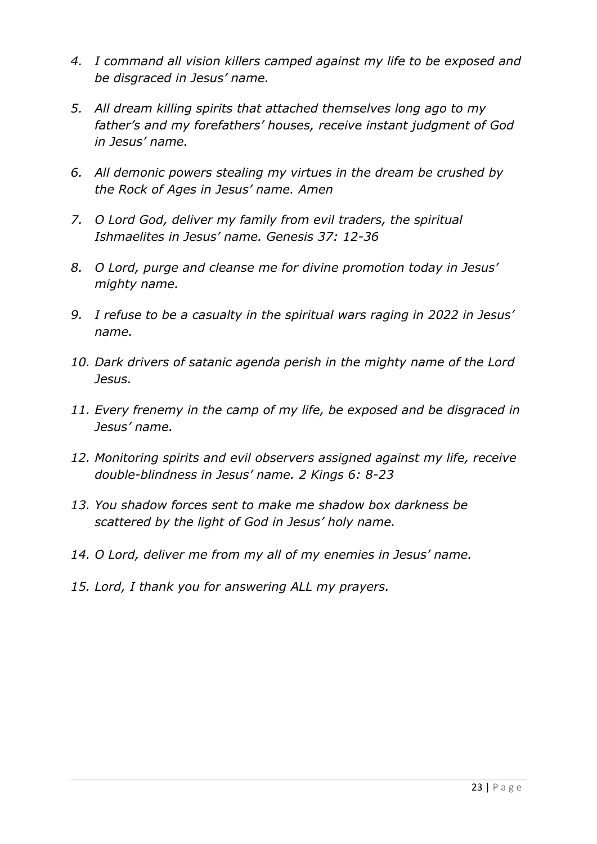- *4. I command all vision killers camped against my life to be exposed and be disgraced in Jesus' name.*
- *5. All dream killing spirits that attached themselves long ago to my father's and my forefathers' houses, receive instant judgment of God in Jesus' name.*
- *6. All demonic powers stealing my virtues in the dream be crushed by the Rock of Ages in Jesus' name. Amen*
- *7. O Lord God, deliver my family from evil traders, the spiritual Ishmaelites in Jesus' name. Genesis 37: 12-36*
- *8. O Lord, purge and cleanse me for divine promotion today in Jesus' mighty name.*
- *9. I refuse to be a casualty in the spiritual wars raging in 2022 in Jesus' name.*
- *10. Dark drivers of satanic agenda perish in the mighty name of the Lord Jesus.*
- *11. Every frenemy in the camp of my life, be exposed and be disgraced in Jesus' name.*
- *12. Monitoring spirits and evil observers assigned against my life, receive double-blindness in Jesus' name. 2 Kings 6: 8-23*
- *13. You shadow forces sent to make me shadow box darkness be scattered by the light of God in Jesus' holy name.*
- *14. O Lord, deliver me from my all of my enemies in Jesus' name.*
- *15. Lord, I thank you for answering ALL my prayers.*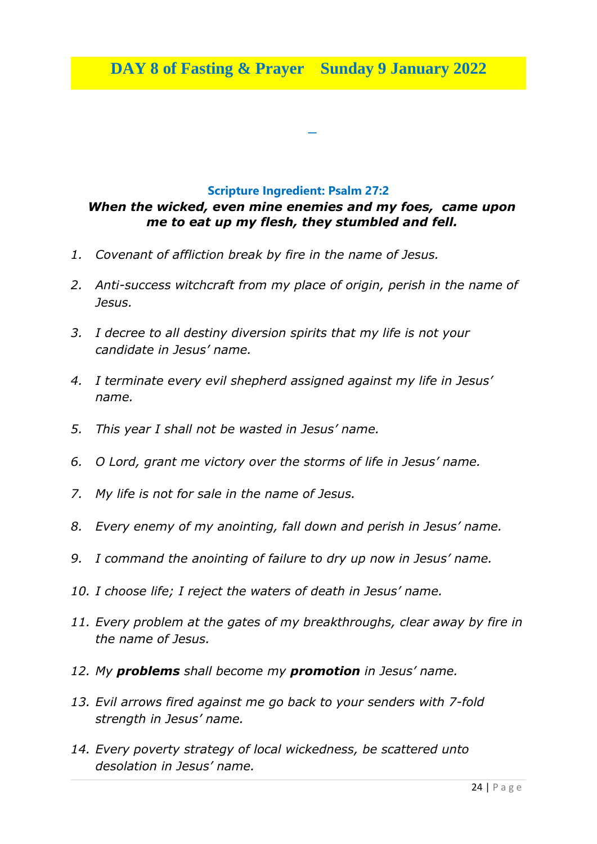**–**

#### **Scripture Ingredient: Psalm 27:2**

### *When the wicked, even mine enemies and my foes, came upon me to eat up my flesh, they stumbled and fell.*

- *1. Covenant of affliction break by fire in the name of Jesus.*
- *2. Anti-success witchcraft from my place of origin, perish in the name of Jesus.*
- *3. I decree to all destiny diversion spirits that my life is not your candidate in Jesus' name.*
- *4. I terminate every evil shepherd assigned against my life in Jesus' name.*
- *5. This year I shall not be wasted in Jesus' name.*
- *6. O Lord, grant me victory over the storms of life in Jesus' name.*
- *7. My life is not for sale in the name of Jesus.*
- *8. Every enemy of my anointing, fall down and perish in Jesus' name.*
- *9. I command the anointing of failure to dry up now in Jesus' name.*
- *10. I choose life; I reject the waters of death in Jesus' name.*
- *11. Every problem at the gates of my breakthroughs, clear away by fire in the name of Jesus.*
- *12. My problems shall become my promotion in Jesus' name.*
- *13. Evil arrows fired against me go back to your senders with 7-fold strength in Jesus' name.*
- *14. Every poverty strategy of local wickedness, be scattered unto desolation in Jesus' name.*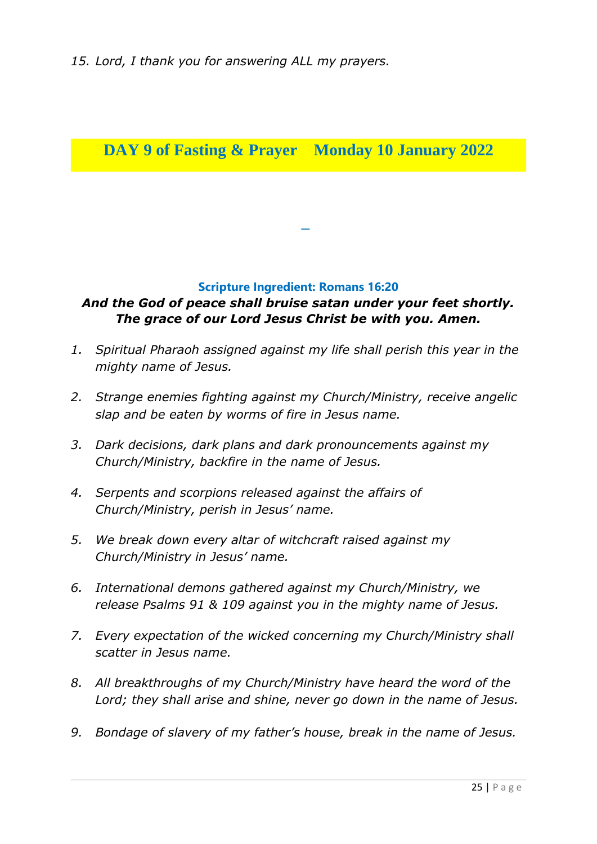# **DAY 9 of Fasting & Prayer Monday 10 January 2022**

#### **Scripture Ingredient: Romans 16:20**

**–**

# *And the God of peace shall bruise satan under your feet shortly. The grace of our Lord Jesus Christ be with you. Amen.*

- *1. Spiritual Pharaoh assigned against my life shall perish this year in the mighty name of Jesus.*
- *2. Strange enemies fighting against my Church/Ministry, receive angelic slap and be eaten by worms of fire in Jesus name.*
- *3. Dark decisions, dark plans and dark pronouncements against my Church/Ministry, backfire in the name of Jesus.*
- *4. Serpents and scorpions released against the affairs of Church/Ministry, perish in Jesus' name.*
- *5. We break down every altar of witchcraft raised against my Church/Ministry in Jesus' name.*
- *6. International demons gathered against my Church/Ministry, we release Psalms 91 & 109 against you in the mighty name of Jesus.*
- *7. Every expectation of the wicked concerning my Church/Ministry shall scatter in Jesus name.*
- *8. All breakthroughs of my Church/Ministry have heard the word of the Lord; they shall arise and shine, never go down in the name of Jesus.*
- *9. Bondage of slavery of my father's house, break in the name of Jesus.*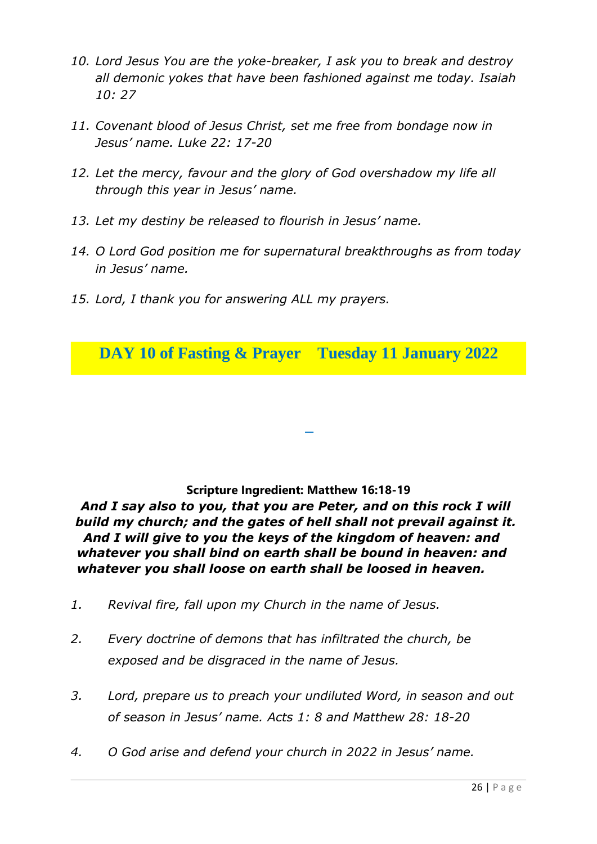- *10. Lord Jesus You are the yoke-breaker, I ask you to break and destroy all demonic yokes that have been fashioned against me today. Isaiah 10: 27*
- *11. Covenant blood of Jesus Christ, set me free from bondage now in Jesus' name. Luke 22: 17-20*
- *12. Let the mercy, favour and the glory of God overshadow my life all through this year in Jesus' name.*
- *13. Let my destiny be released to flourish in Jesus' name.*
- *14. O Lord God position me for supernatural breakthroughs as from today in Jesus' name.*
- *15. Lord, I thank you for answering ALL my prayers.*

**DAY 10 of Fasting & Prayer Tuesday 11 January 2022**

#### **Scripture Ingredient: Matthew 16:18-19**

**–**

*And I say also to you, that you are Peter, and on this rock I will build my church; and the gates of hell shall not prevail against it. And I will give to you the keys of the kingdom of heaven: and whatever you shall bind on earth shall be bound in heaven: and whatever you shall loose on earth shall be loosed in heaven.* 

- *1. Revival fire, fall upon my Church in the name of Jesus.*
- *2. Every doctrine of demons that has infiltrated the church, be exposed and be disgraced in the name of Jesus.*
- *3. Lord, prepare us to preach your undiluted Word, in season and out of season in Jesus' name. Acts 1: 8 and Matthew 28: 18-20*
- *4. O God arise and defend your church in 2022 in Jesus' name.*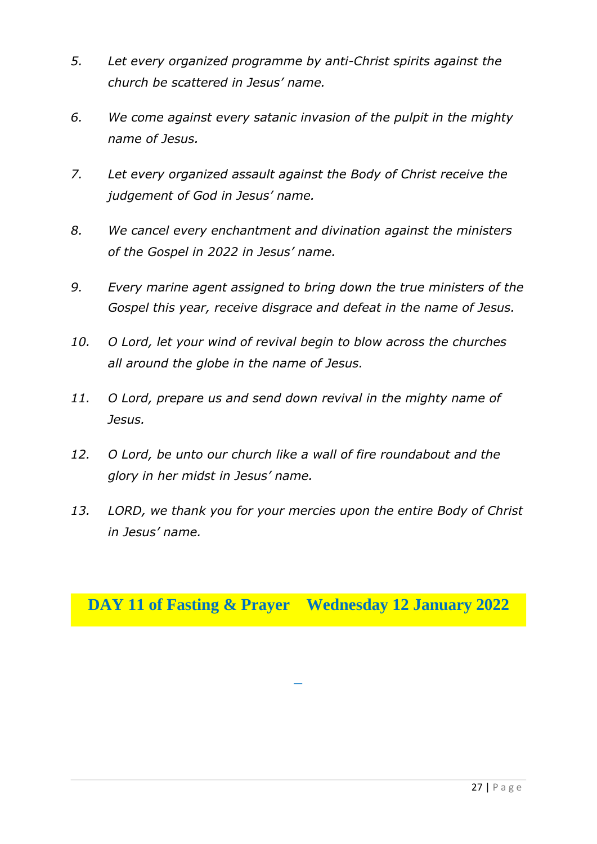- *5. Let every organized programme by anti-Christ spirits against the church be scattered in Jesus' name.*
- *6. We come against every satanic invasion of the pulpit in the mighty name of Jesus.*
- *7. Let every organized assault against the Body of Christ receive the judgement of God in Jesus' name.*
- *8. We cancel every enchantment and divination against the ministers of the Gospel in 2022 in Jesus' name.*
- *9. Every marine agent assigned to bring down the true ministers of the Gospel this year, receive disgrace and defeat in the name of Jesus.*
- *10. O Lord, let your wind of revival begin to blow across the churches all around the globe in the name of Jesus.*
- *11. O Lord, prepare us and send down revival in the mighty name of Jesus.*
- *12. O Lord, be unto our church like a wall of fire roundabout and the glory in her midst in Jesus' name.*
- *13. LORD, we thank you for your mercies upon the entire Body of Christ in Jesus' name.*

# **DAY 11 of Fasting & Prayer Wednesday 12 January 2022**

**–**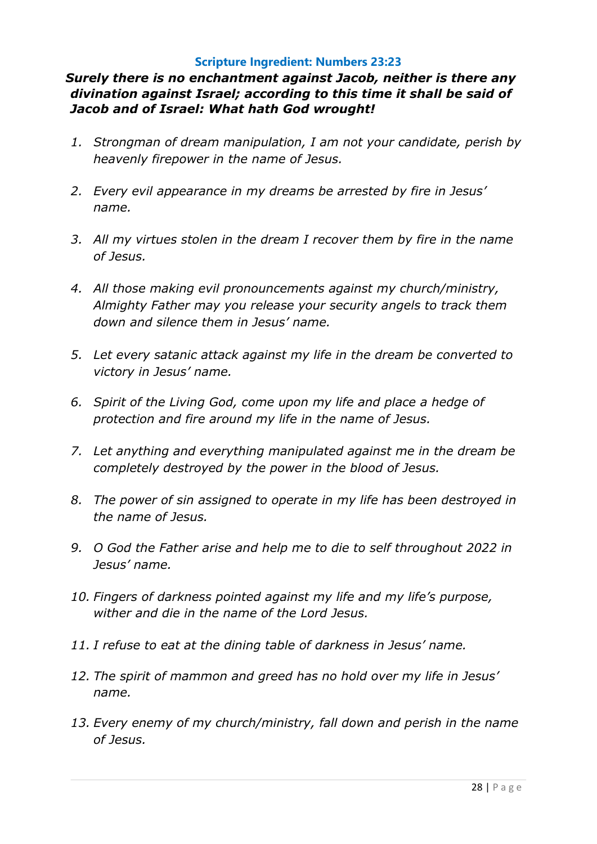#### **Scripture Ingredient: Numbers 23:23**

### *Surely there is no enchantment against Jacob, neither is there any divination against Israel; according to this time it shall be said of Jacob and of Israel: What hath God wrought!*

- *1. Strongman of dream manipulation, I am not your candidate, perish by heavenly firepower in the name of Jesus.*
- *2. Every evil appearance in my dreams be arrested by fire in Jesus' name.*
- *3. All my virtues stolen in the dream I recover them by fire in the name of Jesus.*
- *4. All those making evil pronouncements against my church/ministry, Almighty Father may you release your security angels to track them down and silence them in Jesus' name.*
- *5. Let every satanic attack against my life in the dream be converted to victory in Jesus' name.*
- *6. Spirit of the Living God, come upon my life and place a hedge of protection and fire around my life in the name of Jesus.*
- *7. Let anything and everything manipulated against me in the dream be completely destroyed by the power in the blood of Jesus.*
- *8. The power of sin assigned to operate in my life has been destroyed in the name of Jesus.*
- *9. O God the Father arise and help me to die to self throughout 2022 in Jesus' name.*
- *10. Fingers of darkness pointed against my life and my life's purpose, wither and die in the name of the Lord Jesus.*
- *11. I refuse to eat at the dining table of darkness in Jesus' name.*
- *12. The spirit of mammon and greed has no hold over my life in Jesus' name.*
- *13. Every enemy of my church/ministry, fall down and perish in the name of Jesus.*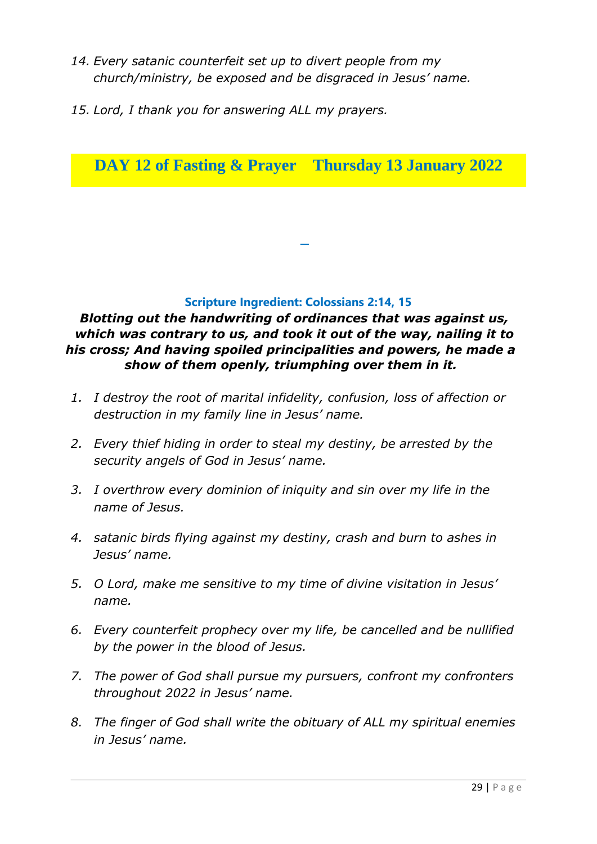- *14. Every satanic counterfeit set up to divert people from my church/ministry, be exposed and be disgraced in Jesus' name.*
- *15. Lord, I thank you for answering ALL my prayers.*

**DAY 12 of Fasting & Prayer Thursday 13 January 2022**

#### **Scripture Ingredient: Colossians 2:14, 15**

**–**

### *Blotting out the handwriting of ordinances that was against us, which was contrary to us, and took it out of the way, nailing it to his cross; And having spoiled principalities and powers, he made a show of them openly, triumphing over them in it.*

- *1. I destroy the root of marital infidelity, confusion, loss of affection or destruction in my family line in Jesus' name.*
- *2. Every thief hiding in order to steal my destiny, be arrested by the security angels of God in Jesus' name.*
- *3. I overthrow every dominion of iniquity and sin over my life in the name of Jesus.*
- *4. satanic birds flying against my destiny, crash and burn to ashes in Jesus' name.*
- *5. O Lord, make me sensitive to my time of divine visitation in Jesus' name.*
- *6. Every counterfeit prophecy over my life, be cancelled and be nullified by the power in the blood of Jesus.*
- *7. The power of God shall pursue my pursuers, confront my confronters throughout 2022 in Jesus' name.*
- *8. The finger of God shall write the obituary of ALL my spiritual enemies in Jesus' name.*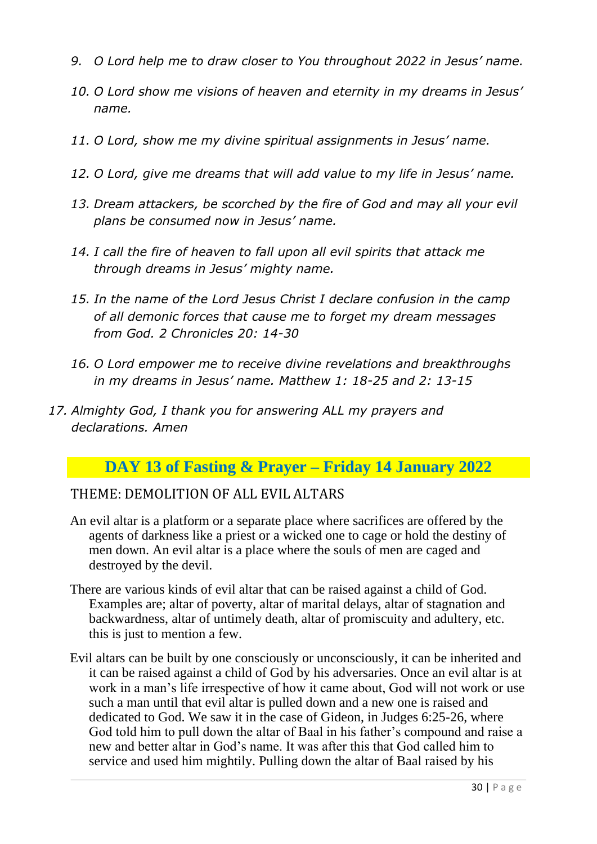- *9. O Lord help me to draw closer to You throughout 2022 in Jesus' name.*
- *10. O Lord show me visions of heaven and eternity in my dreams in Jesus' name.*
- *11. O Lord, show me my divine spiritual assignments in Jesus' name.*
- *12. O Lord, give me dreams that will add value to my life in Jesus' name.*
- *13. Dream attackers, be scorched by the fire of God and may all your evil plans be consumed now in Jesus' name.*
- *14. I call the fire of heaven to fall upon all evil spirits that attack me through dreams in Jesus' mighty name.*
- *15. In the name of the Lord Jesus Christ I declare confusion in the camp of all demonic forces that cause me to forget my dream messages from God. 2 Chronicles 20: 14-30*
- *16. O Lord empower me to receive divine revelations and breakthroughs in my dreams in Jesus' name. Matthew 1: 18-25 and 2: 13-15*
- *17. Almighty God, I thank you for answering ALL my prayers and declarations. Amen*

# **DAY 13 of Fasting & Prayer – Friday 14 January 2022**

### THEME: DEMOLITION OF ALL EVIL ALTARS

- An evil altar is a platform or a separate place where sacrifices are offered by the agents of darkness like a priest or a wicked one to cage or hold the destiny of men down. An evil altar is a place where the souls of men are caged and destroyed by the devil.
- There are various kinds of evil altar that can be raised against a child of God. Examples are; altar of poverty, altar of marital delays, altar of stagnation and backwardness, altar of untimely death, altar of promiscuity and adultery, etc. this is just to mention a few.
- Evil altars can be built by one consciously or unconsciously, it can be inherited and it can be raised against a child of God by his adversaries. Once an evil altar is at work in a man's life irrespective of how it came about, God will not work or use such a man until that evil altar is pulled down and a new one is raised and dedicated to God. We saw it in the case of Gideon, in Judges 6:25-26, where God told him to pull down the altar of Baal in his father's compound and raise a new and better altar in God's name. It was after this that God called him to service and used him mightily. Pulling down the altar of Baal raised by his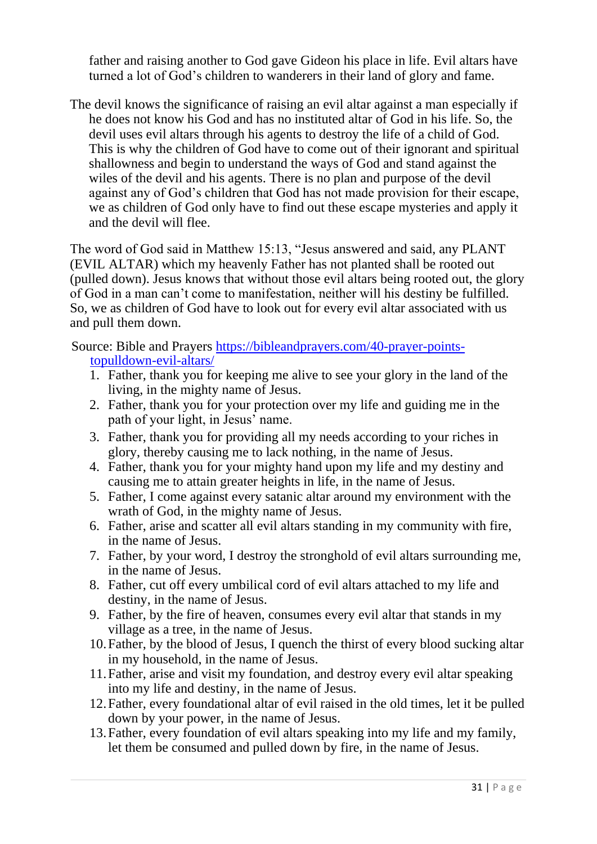father and raising another to God gave Gideon his place in life. Evil altars have turned a lot of God's children to wanderers in their land of glory and fame.

The devil knows the significance of raising an evil altar against a man especially if he does not know his God and has no instituted altar of God in his life. So, the devil uses evil altars through his agents to destroy the life of a child of God. This is why the children of God have to come out of their ignorant and spiritual shallowness and begin to understand the ways of God and stand against the wiles of the devil and his agents. There is no plan and purpose of the devil against any of God's children that God has not made provision for their escape, we as children of God only have to find out these escape mysteries and apply it and the devil will flee.

The word of God said in Matthew 15:13, "Jesus answered and said, any PLANT (EVIL ALTAR) which my heavenly Father has not planted shall be rooted out (pulled down). Jesus knows that without those evil altars being rooted out, the glory of God in a man can't come to manifestation, neither will his destiny be fulfilled. So, we as children of God have to look out for every evil altar associated with us and pull them down.

Source: Bible and Prayers [https://bibleandprayers.com/40-prayer-points](https://bibleandprayers.com/40-prayer-points-to-pull-down-evil-altars/)[topulldown-evil-altars/](https://bibleandprayers.com/40-prayer-points-to-pull-down-evil-altars/)

- 1. Father, thank you for keeping me alive to see your glory in the land of the living, in the mighty name of Jesus.
- 2. Father, thank you for your protection over my life and guiding me in the path of your light, in Jesus' name.
- 3. Father, thank you for providing all my needs according to your riches in glory, thereby causing me to lack nothing, in the name of Jesus.
- 4. Father, thank you for your mighty hand upon my life and my destiny and causing me to attain greater heights in life, in the name of Jesus.
- 5. Father, I come against every satanic altar around my environment with the wrath of God, in the mighty name of Jesus.
- 6. Father, arise and scatter all evil altars standing in my community with fire, in the name of Jesus.
- 7. Father, by your word, I destroy the stronghold of evil altars surrounding me, in the name of Jesus.
- 8. Father, cut off every umbilical cord of evil altars attached to my life and destiny, in the name of Jesus.
- 9. Father, by the fire of heaven, consumes every evil altar that stands in my village as a tree, in the name of Jesus.
- 10.Father, by the blood of Jesus, I quench the thirst of every blood sucking altar in my household, in the name of Jesus.
- 11.Father, arise and visit my foundation, and destroy every evil altar speaking into my life and destiny, in the name of Jesus.
- 12.Father, every foundational altar of evil raised in the old times, let it be pulled down by your power, in the name of Jesus.
- 13.Father, every foundation of evil altars speaking into my life and my family, let them be consumed and pulled down by fire, in the name of Jesus.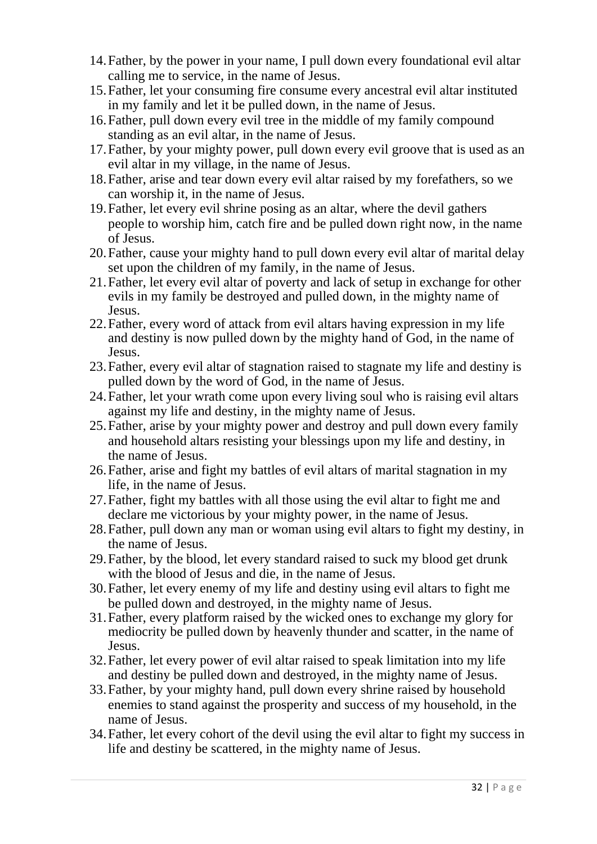- 14.Father, by the power in your name, I pull down every foundational evil altar calling me to service, in the name of Jesus.
- 15.Father, let your consuming fire consume every ancestral evil altar instituted in my family and let it be pulled down, in the name of Jesus.
- 16.Father, pull down every evil tree in the middle of my family compound standing as an evil altar, in the name of Jesus.
- 17.Father, by your mighty power, pull down every evil groove that is used as an evil altar in my village, in the name of Jesus.
- 18.Father, arise and tear down every evil altar raised by my forefathers, so we can worship it, in the name of Jesus.
- 19.Father, let every evil shrine posing as an altar, where the devil gathers people to worship him, catch fire and be pulled down right now, in the name of Jesus.
- 20.Father, cause your mighty hand to pull down every evil altar of marital delay set upon the children of my family, in the name of Jesus.
- 21.Father, let every evil altar of poverty and lack of setup in exchange for other evils in my family be destroyed and pulled down, in the mighty name of Jesus.
- 22.Father, every word of attack from evil altars having expression in my life and destiny is now pulled down by the mighty hand of God, in the name of Jesus.
- 23.Father, every evil altar of stagnation raised to stagnate my life and destiny is pulled down by the word of God, in the name of Jesus.
- 24.Father, let your wrath come upon every living soul who is raising evil altars against my life and destiny, in the mighty name of Jesus.
- 25.Father, arise by your mighty power and destroy and pull down every family and household altars resisting your blessings upon my life and destiny, in the name of Jesus.
- 26.Father, arise and fight my battles of evil altars of marital stagnation in my life, in the name of Jesus.
- 27.Father, fight my battles with all those using the evil altar to fight me and declare me victorious by your mighty power, in the name of Jesus.
- 28.Father, pull down any man or woman using evil altars to fight my destiny, in the name of Jesus.
- 29.Father, by the blood, let every standard raised to suck my blood get drunk with the blood of Jesus and die, in the name of Jesus.
- 30.Father, let every enemy of my life and destiny using evil altars to fight me be pulled down and destroyed, in the mighty name of Jesus.
- 31.Father, every platform raised by the wicked ones to exchange my glory for mediocrity be pulled down by heavenly thunder and scatter, in the name of Jesus.
- 32.Father, let every power of evil altar raised to speak limitation into my life and destiny be pulled down and destroyed, in the mighty name of Jesus.
- 33.Father, by your mighty hand, pull down every shrine raised by household enemies to stand against the prosperity and success of my household, in the name of Jesus.
- 34.Father, let every cohort of the devil using the evil altar to fight my success in life and destiny be scattered, in the mighty name of Jesus.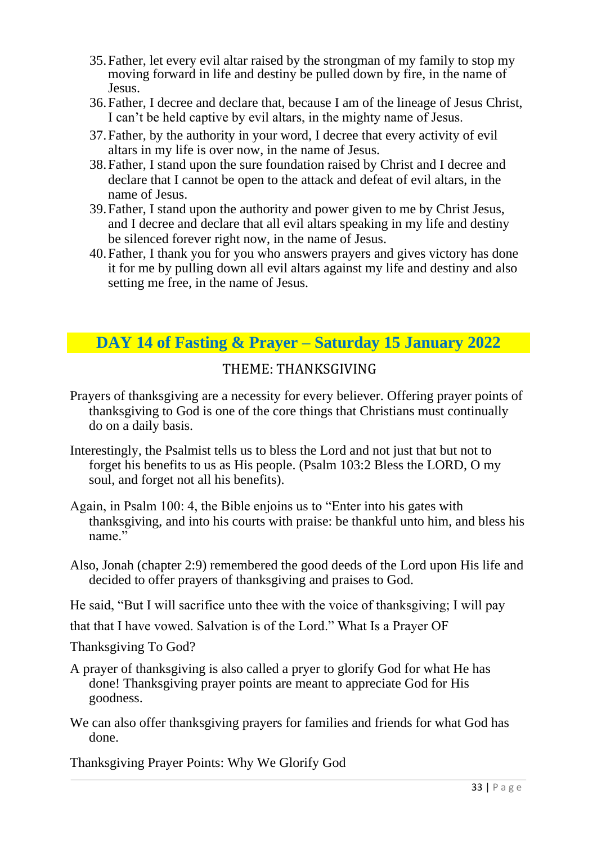- 35.Father, let every evil altar raised by the strongman of my family to stop my moving forward in life and destiny be pulled down by fire, in the name of Jesus.
- 36.Father, I decree and declare that, because I am of the lineage of Jesus Christ, I can't be held captive by evil altars, in the mighty name of Jesus.
- 37.Father, by the authority in your word, I decree that every activity of evil altars in my life is over now, in the name of Jesus.
- 38.Father, I stand upon the sure foundation raised by Christ and I decree and declare that I cannot be open to the attack and defeat of evil altars, in the name of Jesus.
- 39.Father, I stand upon the authority and power given to me by Christ Jesus, and I decree and declare that all evil altars speaking in my life and destiny be silenced forever right now, in the name of Jesus.
- 40.Father, I thank you for you who answers prayers and gives victory has done it for me by pulling down all evil altars against my life and destiny and also setting me free, in the name of Jesus.

# **DAY 14 of Fasting & Prayer – Saturday 15 January 2022**

# THEME: THANKSGIVING

- Prayers of thanksgiving are a necessity for every believer. Offering prayer points of thanksgiving to God is one of the core things that Christians must continually do on a daily basis.
- Interestingly, the Psalmist tells us to bless the Lord and not just that but not to forget his benefits to us as His people. (Psalm 103:2 Bless the LORD, O my soul, and forget not all his benefits).
- Again, in Psalm 100: 4, the Bible enjoins us to "Enter into his gates with thanksgiving, and into his courts with praise: be thankful unto him, and bless his name."
- Also, Jonah (chapter 2:9) remembered the good deeds of the Lord upon His life and decided to offer prayers of thanksgiving and praises to God.
- He said, "But I will sacrifice unto thee with the voice of thanksgiving; I will pay

that that I have vowed. Salvation is of the Lord." What Is a Prayer OF

Thanksgiving To God?

- A prayer of thanksgiving is also called a pryer to glorify God for what He has done! Thanksgiving prayer points are meant to appreciate God for His goodness.
- We can also offer thanksgiving prayers for families and friends for what God has done.

Thanksgiving Prayer Points: Why We Glorify God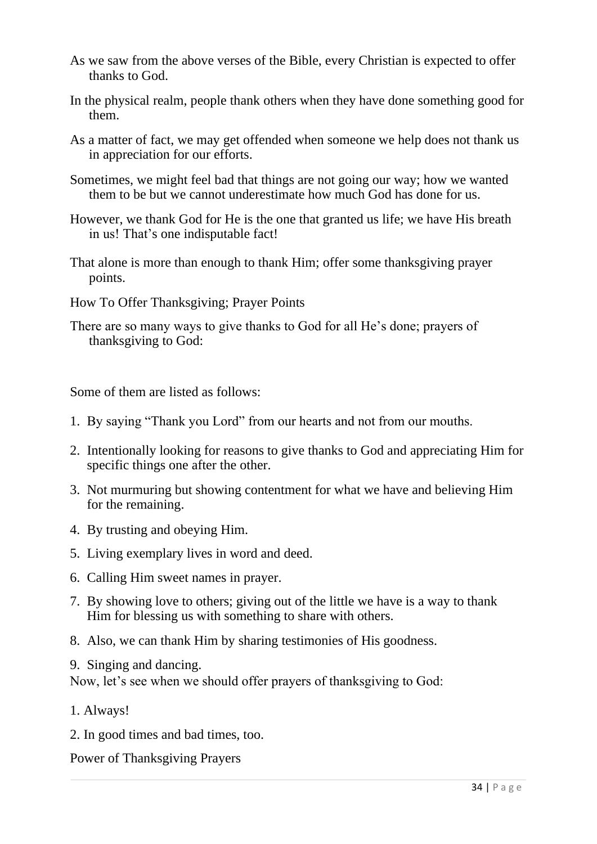- As we saw from the above verses of the Bible, every Christian is expected to offer thanks to God.
- In the physical realm, people thank others when they have done something good for them.
- As a matter of fact, we may get offended when someone we help does not thank us in appreciation for our efforts.
- Sometimes, we might feel bad that things are not going our way; how we wanted them to be but we cannot underestimate how much God has done for us.
- However, we thank God for He is the one that granted us life; we have His breath in us! That's one indisputable fact!
- That alone is more than enough to thank Him; offer some thanksgiving prayer points.
- How To Offer Thanksgiving; Prayer Points
- There are so many ways to give thanks to God for all He's done; prayers of thanksgiving to God:

Some of them are listed as follows:

- 1. By saying "Thank you Lord" from our hearts and not from our mouths.
- 2. Intentionally looking for reasons to give thanks to God and appreciating Him for specific things one after the other.
- 3. Not murmuring but showing contentment for what we have and believing Him for the remaining.
- 4. By trusting and obeying Him.
- 5. Living exemplary lives in word and deed.
- 6. Calling Him sweet names in prayer.
- 7. By showing love to others; giving out of the little we have is a way to thank Him for blessing us with something to share with others.
- 8. Also, we can thank Him by sharing testimonies of His goodness.
- 9. Singing and dancing.

Now, let's see when we should offer prayers of thanksgiving to God:

- 1. Always!
- 2. In good times and bad times, too.

Power of Thanksgiving Prayers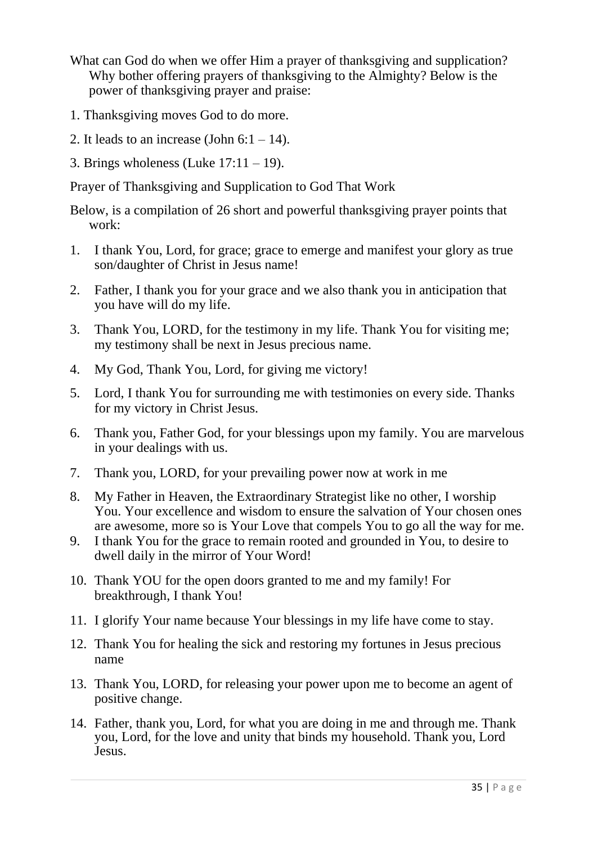- What can God do when we offer Him a prayer of thanksgiving and supplication? Why bother offering prayers of thanksgiving to the Almighty? Below is the power of thanksgiving prayer and praise:
- 1. Thanksgiving moves God to do more.
- 2. It leads to an increase (John  $6:1 14$ ).
- 3. Brings wholeness (Luke  $17:11 19$ ).

Prayer of Thanksgiving and Supplication to God That Work

Below, is a compilation of 26 short and powerful thanksgiving prayer points that work:

- 1. I thank You, Lord, for grace; grace to emerge and manifest your glory as true son/daughter of Christ in Jesus name!
- 2. Father, I thank you for your grace and we also thank you in anticipation that you have will do my life.
- 3. Thank You, LORD, for the testimony in my life. Thank You for visiting me; my testimony shall be next in Jesus precious name.
- 4. My God, Thank You, Lord, for giving me victory!
- 5. Lord, I thank You for surrounding me with testimonies on every side. Thanks for my victory in Christ Jesus.
- 6. Thank you, Father God, for your blessings upon my family. You are marvelous in your dealings with us.
- 7. Thank you, LORD, for your prevailing power now at work in me
- 8. My Father in Heaven, the Extraordinary Strategist like no other, I worship You. Your excellence and wisdom to ensure the salvation of Your chosen ones are awesome, more so is Your Love that compels You to go all the way for me.
- 9. I thank You for the grace to remain rooted and grounded in You, to desire to dwell daily in the mirror of Your Word!
- 10. Thank YOU for the open doors granted to me and my family! For breakthrough, I thank You!
- 11. I glorify Your name because Your blessings in my life have come to stay.
- 12. Thank You for healing the sick and restoring my fortunes in Jesus precious name
- 13. Thank You, LORD, for releasing your power upon me to become an agent of positive change.
- 14. Father, thank you, Lord, for what you are doing in me and through me. Thank you, Lord, for the love and unity that binds my household. Thank you, Lord Jesus.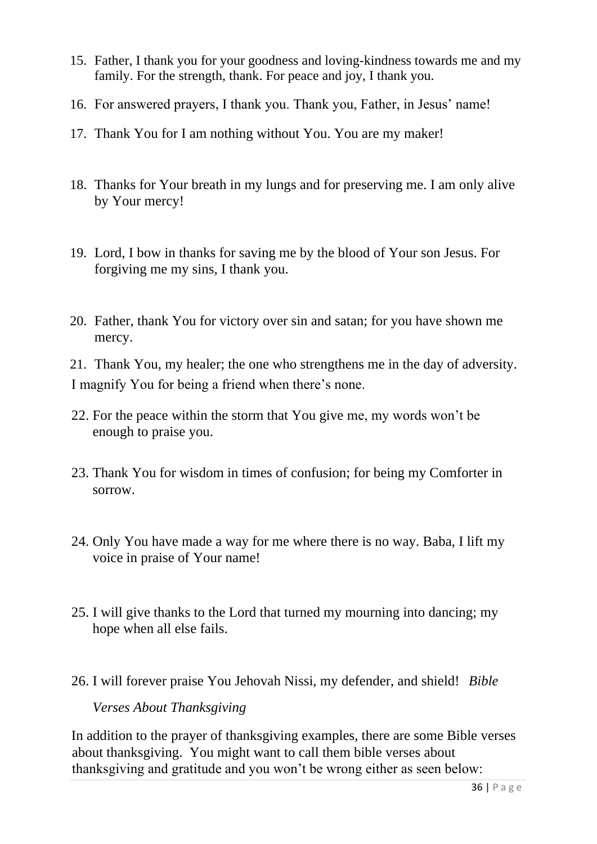- 15. Father, I thank you for your goodness and loving-kindness towards me and my family. For the strength, thank. For peace and joy, I thank you.
- 16. For answered prayers, I thank you. Thank you, Father, in Jesus' name!
- 17. Thank You for I am nothing without You. You are my maker!
- 18. Thanks for Your breath in my lungs and for preserving me. I am only alive by Your mercy!
- 19. Lord, I bow in thanks for saving me by the blood of Your son Jesus. For forgiving me my sins, I thank you.
- 20. Father, thank You for victory over sin and satan; for you have shown me mercy.

21. Thank You, my healer; the one who strengthens me in the day of adversity. I magnify You for being a friend when there's none.

- 22. For the peace within the storm that You give me, my words won't be enough to praise you.
- 23. Thank You for wisdom in times of confusion; for being my Comforter in sorrow.
- 24. Only You have made a way for me where there is no way. Baba, I lift my voice in praise of Your name!
- 25. I will give thanks to the Lord that turned my mourning into dancing; my hope when all else fails.
- 26. I will forever praise You Jehovah Nissi, my defender, and shield! *Bible*

### *Verses About Thanksgiving*

In addition to the prayer of thanksgiving examples, there are some Bible verses about thanksgiving. You might want to call them bible verses about thanksgiving and gratitude and you won't be wrong either as seen below: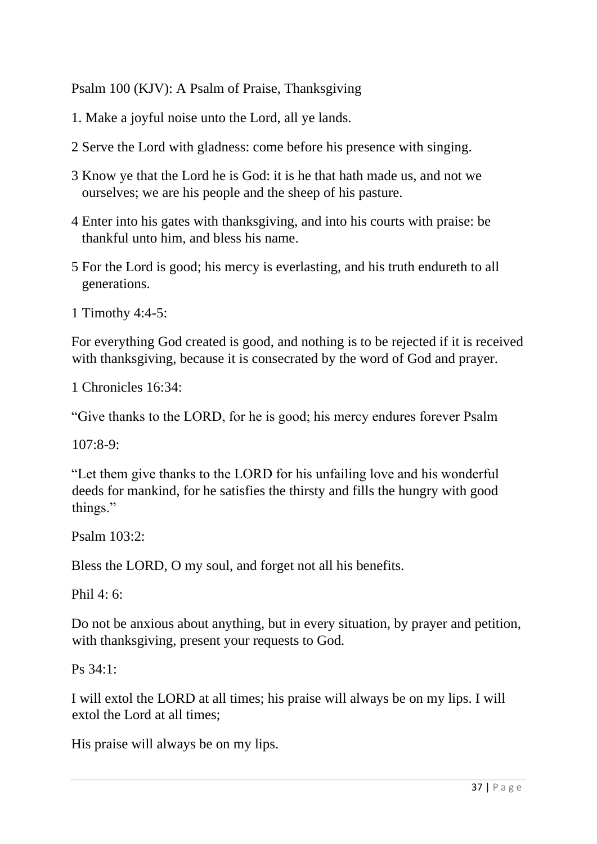Psalm 100 (KJV): A Psalm of Praise, Thanksgiving

- 1. Make a joyful noise unto the Lord, all ye lands.
- 2 Serve the Lord with gladness: come before his presence with singing.
- 3 Know ye that the Lord he is God: it is he that hath made us, and not we ourselves; we are his people and the sheep of his pasture.
- 4 Enter into his gates with thanksgiving, and into his courts with praise: be thankful unto him, and bless his name.
- 5 For the Lord is good; his mercy is everlasting, and his truth endureth to all generations.
- 1 Timothy 4:4-5:

For everything God created is good, and nothing is to be rejected if it is received with thanksgiving, because it is consecrated by the word of God and prayer.

1 Chronicles 16:34:

"Give thanks to the LORD, for he is good; his mercy endures forever Psalm

107:8-9:

"Let them give thanks to the LORD for his unfailing love and his wonderful deeds for mankind, for he satisfies the thirsty and fills the hungry with good things."

Psalm 103:2:

Bless the LORD, O my soul, and forget not all his benefits.

Phil  $4.6$ 

Do not be anxious about anything, but in every situation, by prayer and petition, with thanksgiving, present your requests to God.

Ps 34:1:

I will extol the LORD at all times; his praise will always be on my lips. I will extol the Lord at all times;

His praise will always be on my lips.